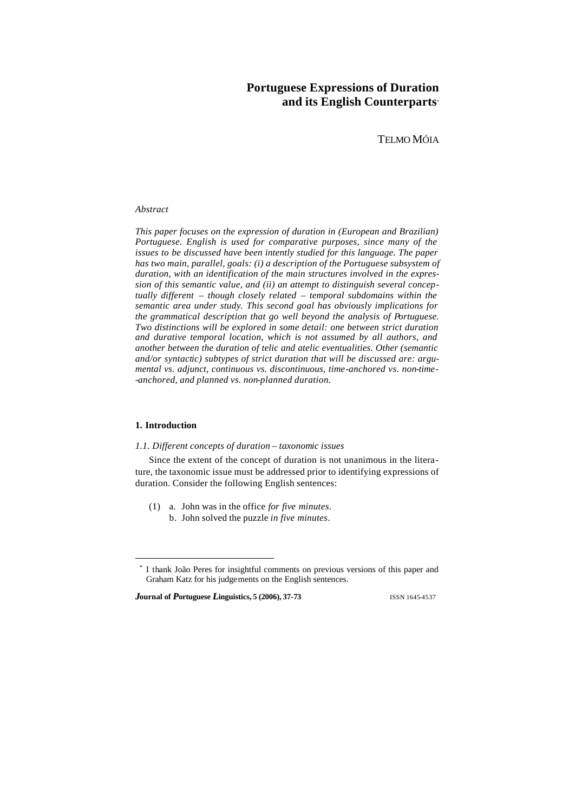# **Portuguese Expressions of Duration and its English Counterparts**\*

TELMO MÓIA

# *Abstract*

*This paper focuses on the expression of duration in (European and Brazilian) Portuguese. English is used for comparative purposes, since many of the issues to be discussed have been intently studied for this language. The paper has two main, parallel, goals: (i) a description of the Portuguese subsystem of duration, with an identification of the main structures involved in the expression of this semantic value, and (ii) an attempt to distinguish several conceptually different – though closely related – temporal subdomains within the semantic area under study. This second goal has obviously implications for the grammatical description that go well beyond the analysis of Portuguese. Two distinctions will be explored in some detail: one between strict duration and durative temporal location, which is not assumed by all authors, and another between the duration of telic and atelic eventualities. Other (semantic and/or syntactic) subtypes of strict duration that will be discussed are: argumental vs. adjunct, continuous vs. discontinuous, time-anchored vs. non-time- -anchored, and planned vs. non-planned duration.*

# **1. Introduction**

l

### *1.1. Different concepts of duration – taxonomic issues*

Since the extent of the concept of duration is not unanimous in the literature, the taxonomic issue must be addressed prior to identifying expressions of duration. Consider the following English sentences:

(1) a. John was in the office *for five minutes*. b. John solved the puzzle *in five minutes*.

*J***ournal of** *P***<sup>ortuguese** *L***inguistics, 5 (2006), 37-73 ISSN 1645-4537**</sup>

<sup>\*</sup> I thank João Peres for insightful comments on previous versions of this paper and Graham Katz for his judgements on the English sentences.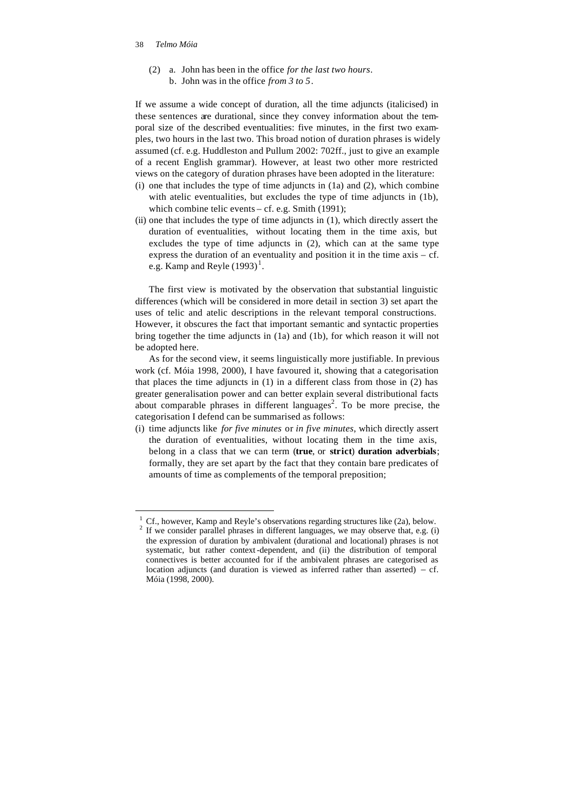(2) a. John has been in the office *for the last two hours*. b. John was in the office *from 3 to 5*.

If we assume a wide concept of duration, all the time adjuncts (italicised) in these sentences are durational, since they convey information about the temporal size of the described eventualities: five minutes, in the first two examples, two hours in the last two. This broad notion of duration phrases is widely assumed (cf. e.g. Huddleston and Pullum 2002: 702ff., just to give an example of a recent English grammar). However, at least two other more restricted views on the category of duration phrases have been adopted in the literature:

- (i) one that includes the type of time adjuncts in (1a) and (2), which combine with atelic eventualities, but excludes the type of time adjuncts in (1b), which combine telic events – cf. e.g. Smith (1991);
- (ii) one that includes the type of time adjuncts in (1), which directly assert the duration of eventualities, without locating them in the time axis, but excludes the type of time adjuncts in (2), which can at the same type express the duration of an eventuality and position it in the time axis – cf. e.g. Kamp and Reyle  $(1993)^{1}$ .

The first view is motivated by the observation that substantial linguistic differences (which will be considered in more detail in section 3) set apart the uses of telic and atelic descriptions in the relevant temporal constructions. However, it obscures the fact that important semantic and syntactic properties bring together the time adjuncts in (1a) and (1b), for which reason it will not be adopted here.

As for the second view, it seems linguistically more justifiable. In previous work (cf. Móia 1998, 2000), I have favoured it, showing that a categorisation that places the time adjuncts in (1) in a different class from those in (2) has greater generalisation power and can better explain several distributional facts about comparable phrases in different languages<sup>2</sup>. To be more precise, the categorisation I defend can be summarised as follows:

(i) time adjuncts like *for five minutes* or *in five minutes*, which directly assert the duration of eventualities, without locating them in the time axis, belong in a class that we can term (**true**, or **strict**) **duration adverbials**; formally, they are set apart by the fact that they contain bare predicates of amounts of time as complements of the temporal preposition;

 $1 \text{ Cf.}$ , however, Kamp and Reyle's observations regarding structures like (2a), below. 2 If we consider parallel phrases in different languages, we may observe that, e.g. (i) the expression of duration by ambivalent (durational and locational) phrases is not systematic, but rather context-dependent, and (ii) the distribution of temporal connectives is better accounted for if the ambivalent phrases are categorised as location adjuncts (and duration is viewed as inferred rather than asserted)  $- cf.$ Móia (1998, 2000).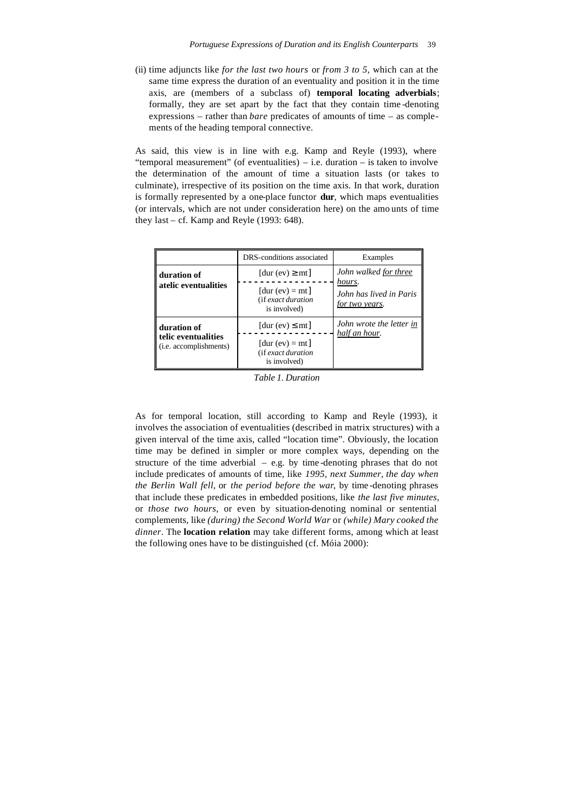(ii) time adjuncts like *for the last two hours* or *from 3 to 5*, which can at the same time express the duration of an eventuality and position it in the time axis, are (members of a subclass of) **temporal locating adverbials**; formally, they are set apart by the fact that they contain time -denoting expressions – rather than *bare* predicates of amounts of time – as complements of the heading temporal connective.

As said, this view is in line with e.g. Kamp and Reyle (1993), where "temporal measurement" (of eventualities) – i.e. duration – is taken to involve the determination of the amount of time a situation lasts (or takes to culminate), irrespective of its position on the time axis. In that work, duration is formally represented by a one-place functor **dur**, which maps eventualities (or intervals, which are not under consideration here) on the amo unts of time they last – cf. Kamp and Reyle (1993: 648).

|                                               | DRS-conditions associated                               | Examples                                            |
|-----------------------------------------------|---------------------------------------------------------|-----------------------------------------------------|
| duration of                                   | $[dur (ev) \geq mt]$                                    | John walked for three                               |
| atelic eventualities                          | $[dur (ev) = mt]$<br>(if exact duration<br>is involved) | hours.<br>John has lived in Paris<br>for two years. |
| duration of                                   | $[dur (ev) \leq mt]$                                    | John wrote the letter in<br>half an hour.           |
| telic eventualities<br>(i.e. accomplishments) | $[dur (ev) = mt]$<br>(if exact duration<br>is involved) |                                                     |

*Table 1. Duration*

As for temporal location, still according to Kamp and Reyle (1993), it involves the association of eventualities (described in matrix structures) with a given interval of the time axis, called "location time". Obviously, the location time may be defined in simpler or more complex ways, depending on the structure of the time adverbial  $-$  e.g. by time-denoting phrases that do not include predicates of amounts of time, like *1995, next Summer*, *the day when the Berlin Wall fell*, or *the period before the war*, by time -denoting phrases that include these predicates in embedded positions, like *the last five minutes*, or *those two hours*, or even by situation-denoting nominal or sentential complements, like *(during) the Second World War* or *(while) Mary cooked the dinner*. The **location relation** may take different forms, among which at least the following ones have to be distinguished (cf. Móia 2000):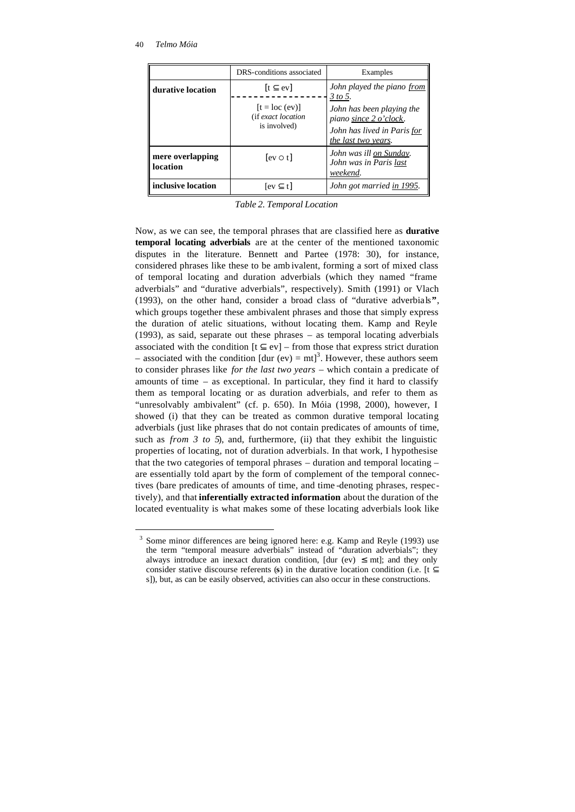l

|                              | DRS-conditions associated                              | Examples                                                                                                  |
|------------------------------|--------------------------------------------------------|-----------------------------------------------------------------------------------------------------------|
| durative location            | $[t \subseteq \text{ev}]$                              | John played the piano from<br>3 to 5.                                                                     |
|                              | $[t = loc (ev)]$<br>(if exact location<br>is involved) | John has been playing the<br>piano since 2 o'clock.<br>John has lived in Paris for<br>the last two years. |
| mere overlapping<br>location | $[ev \circ t]$                                         | John was ill on Sunday.<br>John was in Paris last<br>weekend.                                             |
| inclusive location           | $[ev \subset t]$                                       | John got married in 1995.                                                                                 |

*Table 2. Temporal Location*

Now, as we can see, the temporal phrases that are classified here as **durative temporal locating adverbials** are at the center of the mentioned taxonomic disputes in the literature. Bennett and Partee (1978: 30), for instance, considered phrases like these to be amb ivalent, forming a sort of mixed class of temporal locating and duration adverbials (which they named "frame adverbials" and "durative adverbials", respectively). Smith (1991) or Vlach (1993), on the other hand, consider a broad class of "durative adverbials**"**, which groups together these ambivalent phrases and those that simply express the duration of atelic situations, without locating them. Kamp and Reyle (1993), as said, separate out these phrases – as temporal locating adverbials associated with the condition  $[t \subseteq ev]$  – from those that express strict duration – associated with the condition  $[dur (ev) = mt]^3$ . However, these authors seem to consider phrases like *for the last two years* – which contain a predicate of amounts of time – as exceptional. In particular, they find it hard to classify them as temporal locating or as duration adverbials, and refer to them as "unresolvably ambivalent" (cf. p. 650). In Móia (1998, 2000), however, I showed (i) that they can be treated as common durative temporal locating adverbials (just like phrases that do not contain predicates of amounts of time, such as *from 3 to 5*), and, furthermore, (ii) that they exhibit the linguistic properties of locating, not of duration adverbials. In that work, I hypothesise that the two categories of temporal phrases – duration and temporal locating – are essentially told apart by the form of complement of the temporal connectives (bare predicates of amounts of time, and time -denoting phrases, respectively), and that **inferentially extracted information** about the duration of the located eventuality is what makes some of these locating adverbials look like

<sup>&</sup>lt;sup>3</sup> Some minor differences are being ignored here: e.g. Kamp and Reyle (1993) use the term "temporal measure adverbials" instead of "duration adverbials"; they always introduce an inexact duration condition, [dur (ev)  $\leq$  mt]; and they only consider stative discourse referents (**s**) in the durative location condition (i.e. [t  $\subseteq$ s]), but, as can be easily observed, activities can also occur in these constructions.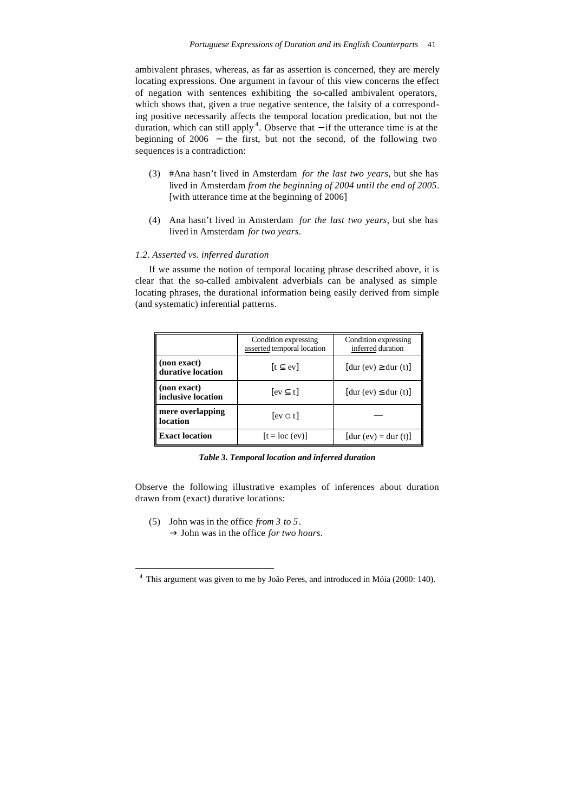ambivalent phrases, whereas, as far as assertion is concerned, they are merely locating expressions. One argument in favour of this view concerns the effect of negation with sentences exhibiting the so-called ambivalent operators, which shows that, given a true negative sentence, the falsity of a corresponding positive necessarily affects the temporal location predication, but not the duration, which can still apply<sup>4</sup>. Observe that  $-$  if the utterance time is at the beginning of 2006 − the first, but not the second, of the following two sequences is a contradiction:

- (3) #Ana hasn't lived in Amsterdam *for the last two years*, but she has lived in Amsterdam *from the beginning of 2004 until the end of 2005*. [with utterance time at the beginning of 2006]
- (4) Ana hasn't lived in Amsterdam *for the last two years*, but she has lived in Amsterdam *for two years*.

# *1.2. Asserted vs. inferred duration*

If we assume the notion of temporal locating phrase described above, it is clear that the so-called ambivalent adverbials can be analysed as simple locating phrases, the durational information being easily derived from simple (and systematic) inferential patterns.

|                                   | Condition expressing<br>asserted temporal location | Condition expressing<br>inferred duration |
|-----------------------------------|----------------------------------------------------|-------------------------------------------|
| (non exact)<br>durative location  | $[t \subset \text{ev}]$                            | $[dur (ev) \geq dur (t)]$                 |
| (non exact)<br>inclusive location | $[ev \subset t]$                                   | $[dur (ev) \leq dur (t)]$                 |
| mere overlapping<br>location      | $[ev \circ t]$                                     |                                           |
| <b>Exact location</b>             | $[t = loc (ev)]$                                   | $[dur (ev) = dur (t)]$                    |

*Table 3. Temporal location and inferred duration*

Observe the following illustrative examples of inferences about duration drawn from (exact) durative locations:

(5) John was in the office *from 3 to 5*.  $\rightarrow$  John was in the office *for two hours*.

l

<sup>4</sup> This argument was given to me by João Peres, and introduced in Móia (2000: 140).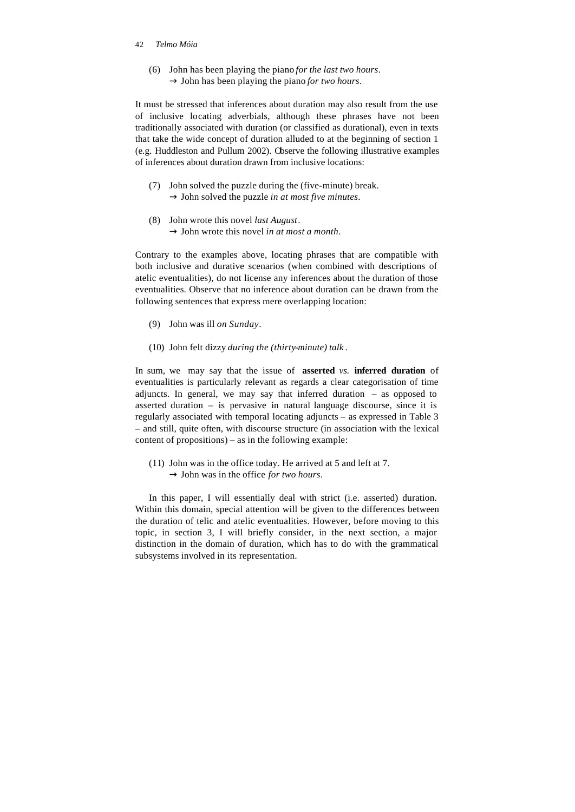(6) John has been playing the piano *for the last two hours*.  $\rightarrow$  John has been playing the piano *for two hours*.

It must be stressed that inferences about duration may also result from the use of inclusive locating adverbials, although these phrases have not been traditionally associated with duration (or classified as durational), even in texts that take the wide concept of duration alluded to at the beginning of section 1 (e.g. Huddleston and Pullum 2002). Observe the following illustrative examples of inferences about duration drawn from inclusive locations:

- (7) John solved the puzzle during the (five-minute) break.  $\rightarrow$  John solved the puzzle *in at most five minutes*.
- (8) John wrote this novel *last August*.  $\rightarrow$  John wrote this novel *in at most a month*.

Contrary to the examples above, locating phrases that are compatible with both inclusive and durative scenarios (when combined with descriptions of atelic eventualities), do not license any inferences about the duration of those eventualities. Observe that no inference about duration can be drawn from the following sentences that express mere overlapping location:

- (9) John was ill *on Sunday*.
- (10) John felt dizzy *during the (thirty-minute) talk* .

In sum, we may say that the issue of **asserted** *vs.* **inferred duration** of eventualities is particularly relevant as regards a clear categorisation of time adjuncts. In general, we may say that inferred duration – as opposed to asserted duration – is pervasive in natural language discourse, since it is regularly associated with temporal locating adjuncts – as expressed in Table 3 – and still, quite often, with discourse structure (in association with the lexical content of propositions) – as in the following example:

(11) John was in the office today. He arrived at 5 and left at 7.  $\rightarrow$  John was in the office *for two hours*.

In this paper, I will essentially deal with strict (i.e. asserted) duration. Within this domain, special attention will be given to the differences between the duration of telic and atelic eventualities. However, before moving to this topic, in section 3, I will briefly consider, in the next section, a major distinction in the domain of duration, which has to do with the grammatical subsystems involved in its representation.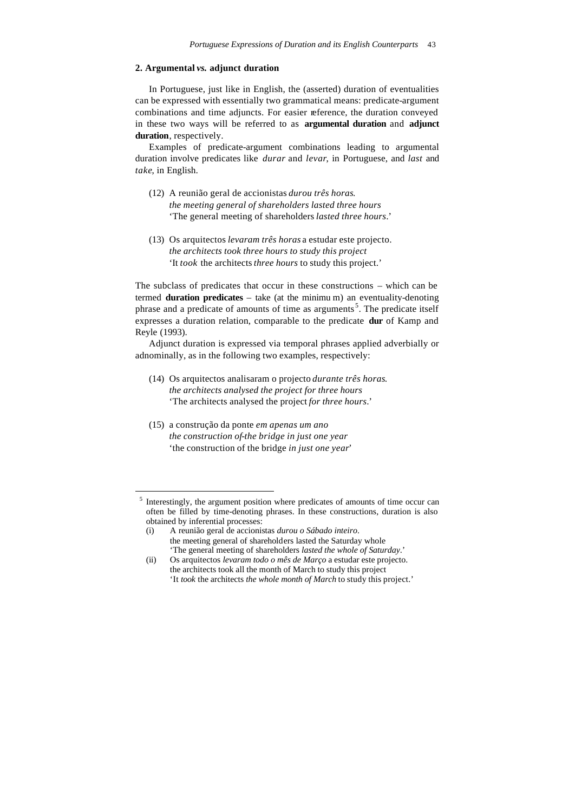# **2. Argumental** *vs.* **adjunct duration**

In Portuguese, just like in English, the (asserted) duration of eventualities can be expressed with essentially two grammatical means: predicate-argument combinations and time adjuncts. For easier reference, the duration conveyed in these two ways will be referred to as **argumental duration** and **adjunct duration**, respectively.

Examples of predicate-argument combinations leading to argumental duration involve predicates like *durar* and *levar*, in Portuguese, and *last* and *take*, in English.

- (12) A reunião geral de accionistas *durou três horas*. *the meeting general of shareholders lasted three hours* 'The general meeting of shareholders *lasted three hours*.'
- (13) Os arquitectos *levaram três horas* a estudar este projecto. *the architects took three hours to study this project* 'It *took* the architects *three hours* to study this project.'

The subclass of predicates that occur in these constructions – which can be termed **duration predicates** – take (at the minimu m) an eventuality-denoting phrase and a predicate of amounts of time as arguments<sup>5</sup>. The predicate itself expresses a duration relation, comparable to the predicate **dur** of Kamp and Reyle (1993).

Adjunct duration is expressed via temporal phrases applied adverbially or adnominally, as in the following two examples, respectively:

- (14) Os arquitectos analisaram o projecto *durante três horas*. *the architects analysed the project for three hours* 'The architects analysed the project *for three hours*.'
- (15) a construção da ponte *em apenas um ano the construction of-the bridge in just one year* 'the construction of the bridge *in just one year*'

j

<sup>&</sup>lt;sup>5</sup> Interestingly, the argument position where predicates of amounts of time occur can often be filled by time-denoting phrases. In these constructions, duration is also obtained by inferential processes:

<sup>(</sup>i) A reunião geral de accionistas *durou o Sábado inteiro*. the meeting general of shareholders lasted the Saturday whole 'The general meeting of shareholders *lasted the whole of Saturday*.'

<sup>(</sup>ii) Os arquitectos *levaram todo o mês de Março* a estudar este projecto. the architects took all the month of March to study this project 'It *took* the architects *the whole month of March* to study this project.'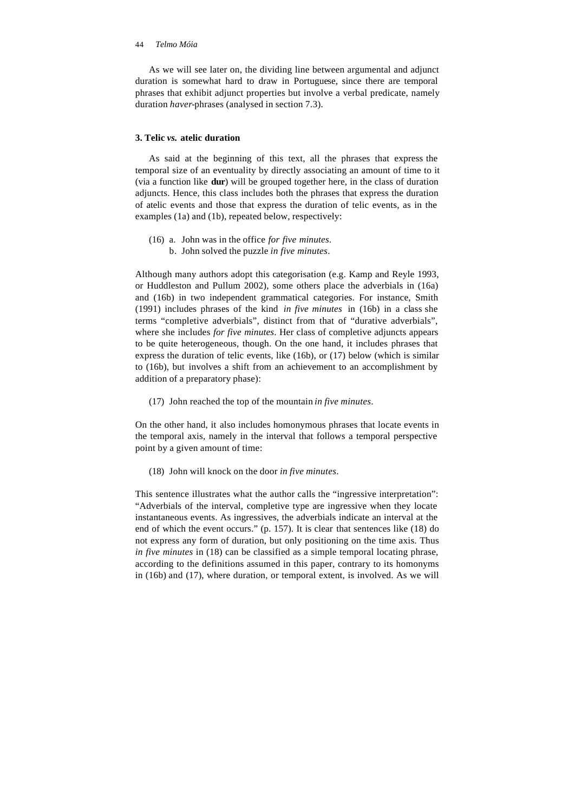As we will see later on, the dividing line between argumental and adjunct duration is somewhat hard to draw in Portuguese, since there are temporal phrases that exhibit adjunct properties but involve a verbal predicate, namely duration *haver*-phrases (analysed in section 7.3).

# **3. Telic** *vs.* **atelic duration**

As said at the beginning of this text, all the phrases that express the temporal size of an eventuality by directly associating an amount of time to it (via a function like **dur**) will be grouped together here, in the class of duration adjuncts. Hence, this class includes both the phrases that express the duration of atelic events and those that express the duration of telic events, as in the examples (1a) and (1b), repeated below, respectively:

(16) a. John was in the office *for five minutes*. b. John solved the puzzle *in five minutes*.

Although many authors adopt this categorisation (e.g. Kamp and Reyle 1993, or Huddleston and Pullum 2002), some others place the adverbials in (16a) and (16b) in two independent grammatical categories. For instance, Smith (1991) includes phrases of the kind *in five minutes* in (16b) in a class she terms "completive adverbials", distinct from that of "durative adverbials", where she includes *for five minutes*. Her class of completive adjuncts appears to be quite heterogeneous, though. On the one hand, it includes phrases that express the duration of telic events, like (16b), or (17) below (which is similar to (16b), but involves a shift from an achievement to an accomplishment by addition of a preparatory phase):

(17) John reached the top of the mountain *in five minutes*.

On the other hand, it also includes homonymous phrases that locate events in the temporal axis, namely in the interval that follows a temporal perspective point by a given amount of time:

(18) John will knock on the door *in five minutes*.

This sentence illustrates what the author calls the "ingressive interpretation": "Adverbials of the interval, completive type are ingressive when they locate instantaneous events. As ingressives, the adverbials indicate an interval at the end of which the event occurs." (p. 157). It is clear that sentences like (18) do not express any form of duration, but only positioning on the time axis. Thus *in five minutes* in (18) can be classified as a simple temporal locating phrase, according to the definitions assumed in this paper, contrary to its homonyms in (16b) and (17), where duration, or temporal extent, is involved. As we will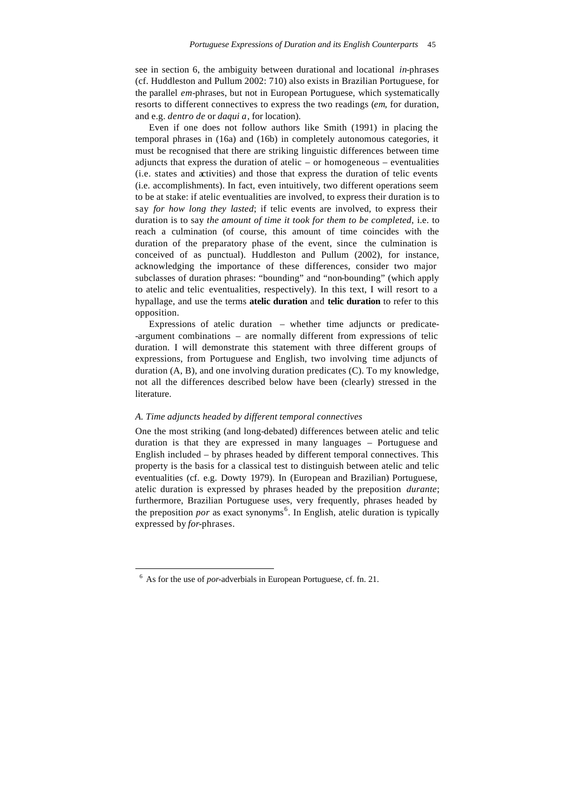see in section 6, the ambiguity between durational and locational *in*-phrases (cf. Huddleston and Pullum 2002: 710) also exists in Brazilian Portuguese, for the parallel *em*-phrases, but not in European Portuguese, which systematically resorts to different connectives to express the two readings (*em*, for duration, and e.g. *dentro de* or *daqui a*, for location).

Even if one does not follow authors like Smith (1991) in placing the temporal phrases in (16a) and (16b) in completely autonomous categories, it must be recognised that there are striking linguistic differences between time adjuncts that express the duration of atelic – or homogeneous – eventualities (i.e. states and activities) and those that express the duration of telic events (i.e. accomplishments). In fact, even intuitively, two different operations seem to be at stake: if atelic eventualities are involved, to express their duration is to say *for how long they lasted*; if telic events are involved, to express their duration is to say *the amount of time it took for them to be completed*, i.e. to reach a culmination (of course, this amount of time coincides with the duration of the preparatory phase of the event, since the culmination is conceived of as punctual). Huddleston and Pullum (2002), for instance, acknowledging the importance of these differences, consider two major subclasses of duration phrases: "bounding" and "non-bounding" (which apply to atelic and telic eventualities, respectively). In this text, I will resort to a hypallage, and use the terms **atelic duration** and **telic duration** to refer to this opposition.

Expressions of atelic duration – whether time adjuncts or predicate- -argument combinations – are normally different from expressions of telic duration. I will demonstrate this statement with three different groups of expressions, from Portuguese and English, two involving time adjuncts of duration (A, B), and one involving duration predicates (C). To my knowledge, not all the differences described below have been (clearly) stressed in the literature.

### *A. Time adjuncts headed by different temporal connectives*

One the most striking (and long-debated) differences between atelic and telic duration is that they are expressed in many languages – Portuguese and English included – by phrases headed by different temporal connectives. This property is the basis for a classical test to distinguish between atelic and telic eventualities (cf. e.g. Dowty 1979). In (European and Brazilian) Portuguese, atelic duration is expressed by phrases headed by the preposition *durante*; furthermore, Brazilian Portuguese uses, very frequently, phrases headed by the preposition *por* as exact synonyms<sup>6</sup>. In English, atelic duration is typically expressed by *for*-phrases.

l

<sup>6</sup> As for the use of *por-*adverbials in European Portuguese, cf. fn. 21.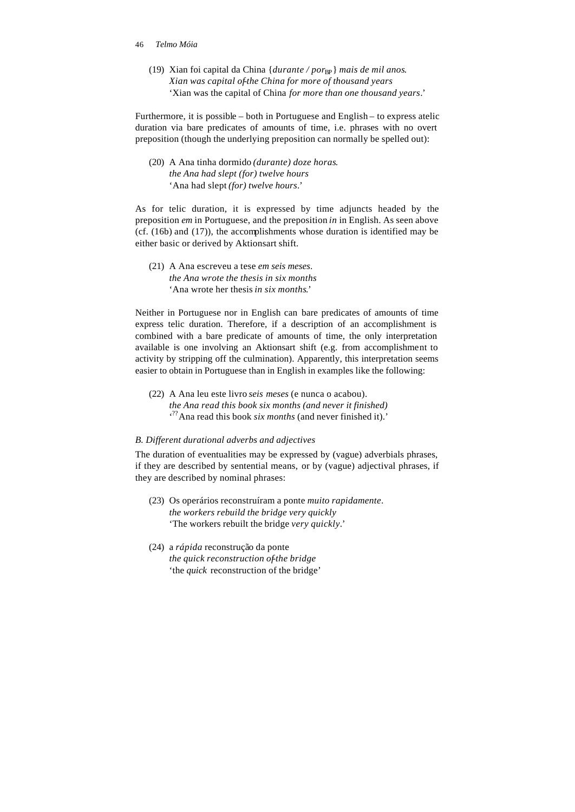- 46 *Telmo Móia*
	- (19) Xian foi capital da China {*durante / por*<sub>BP</sub>} *mais de mil anos. Xian was capital of-the China for more of thousand years* 'Xian was the capital of China *for more than one thousand years*.'

Furthermore, it is possible – both in Portuguese and English – to express atelic duration via bare predicates of amounts of time, i.e. phrases with no overt preposition (though the underlying preposition can normally be spelled out):

(20) A Ana tinha dormido *(durante) doze horas*. *the Ana had slept (for) twelve hours* 'Ana had slept *(for) twelve hours*.'

As for telic duration, it is expressed by time adjuncts headed by the preposition *em* in Portuguese, and the preposition *in* in English. As seen above (cf. (16b) and (17)), the accomplishments whose duration is identified may be either basic or derived by Aktionsart shift.

(21) A Ana escreveu a tese *em seis meses*. *the Ana wrote the thesis in six months* 'Ana wrote her thesis *in six months*.'

Neither in Portuguese nor in English can bare predicates of amounts of time express telic duration. Therefore, if a description of an accomplishment is combined with a bare predicate of amounts of time, the only interpretation available is one involving an Aktionsart shift (e.g. from accomplishment to activity by stripping off the culmination). Apparently, this interpretation seems easier to obtain in Portuguese than in English in examples like the following:

(22) A Ana leu este livro *seis meses* (e nunca o acabou). *the Ana read this book six months (and never it finished)* ' ??Ana read this book *six months* (and never finished it).'

# *B. Different durational adverbs and adjectives*

The duration of eventualities may be expressed by (vague) adverbials phrases, if they are described by sentential means, or by (vague) adjectival phrases, if they are described by nominal phrases:

- (23) Os operários reconstruíram a ponte *muito rapidamente*. *the workers rebuild the bridge very quickly* 'The workers rebuilt the bridge *very quickly*.'
- (24) a *rápida* reconstrução da ponte *the quick reconstruction of-the bridge* 'the *quick* reconstruction of the bridge'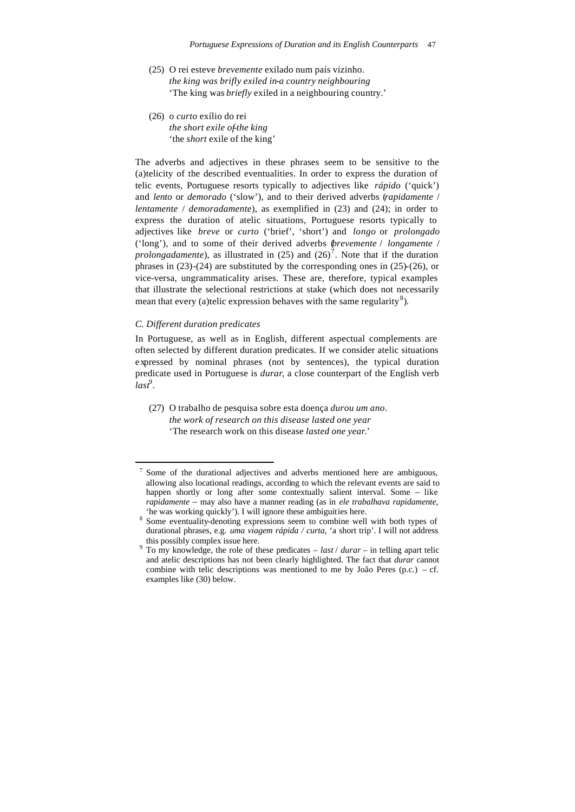- (25) O rei esteve *brevemente* exilado num país vizinho. *the king was brifly exiled in-a country neighbouring* 'The king was *briefly* exiled in a neighbouring country.'
- (26) o *curto* exílio do rei *the short exile of-the king* 'the *short* exile of the king'

The adverbs and adjectives in these phrases seem to be sensitive to the (a)telicity of the described eventualities. In order to express the duration of telic events, Portuguese resorts typically to adjectives like *rápido* ('quick') and *lento* or *demorado* ('slow'), and to their derived adverbs (*rapidamente* / *lentamente* / *demoradamente*), as exemplified in (23) and (24); in order to express the duration of atelic situations, Portuguese resorts typically to adjectives like *breve* or *curto* ('brief', 'short') and *longo* or *prolongado* ('long'), and to some of their derived adverbs (*brevemente* / *longamente* / *prolongadamente*), as illustrated in  $(25)$  and  $(26)^7$ . Note that if the duration phrases in (23)-(24) are substituted by the corresponding ones in (25)-(26), or vice-versa, ungrammaticality arises. These are, therefore, typical examples that illustrate the selectional restrictions at stake (which does not necessarily mean that every (a)telic expression behaves with the same regularity<sup>8</sup>).

# *C. Different duration predicates*

j

In Portuguese, as well as in English, different aspectual complements are often selected by different duration predicates. If we consider atelic situations expressed by nominal phrases (not by sentences), the typical duration predicate used in Portuguese is *durar*, a close counterpart of the English verb *last*<sup>9</sup> .

(27) O trabalho de pesquisa sobre esta doença *durou um ano*. *the work of research on this disease lasted one year* 'The research work on this disease *lasted one year*.'

<sup>7</sup> Some of the durational adjectives and adverbs mentioned here are ambiguous, allowing also locational readings, according to which the relevant events are said to happen shortly or long after some contextually salient interval. Some – like *rapidamente* – may also have a manner reading (as in *ele trabalhava rapidamente*, 'he was working quickly'). I will ignore these ambiguities here.

<sup>&</sup>lt;sup>8</sup> Some eventuality-denoting expressions seem to combine well with both types of durational phrases, e.g. *uma viagem rápida / curta*, 'a short trip'. I will not address this possibly complex issue here.

<sup>9</sup> To my knowledge, the role of these predicates – *last* / *durar* – in telling apart telic and atelic descriptions has not been clearly highlighted. The fact that *durar* cannot combine with telic descriptions was mentioned to me by João Peres  $(p.c.) - cf.$ examples like (30) below.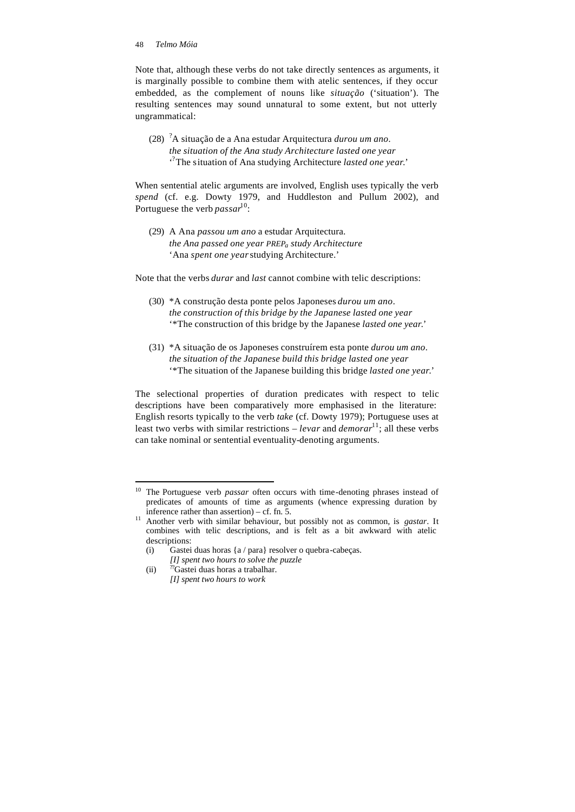Note that, although these verbs do not take directly sentences as arguments, it is marginally possible to combine them with atelic sentences, if they occur embedded, as the complement of nouns like *situação* ('situation'). The resulting sentences may sound unnatural to some extent, but not utterly ungrammatical:

(28) ?A situação de a Ana estudar Arquitectura *durou um ano*. *the situation of the Ana study Architecture lasted one year* ' ? The situation of Ana studying Architecture *lasted one year*.'

When sentential atelic arguments are involved, English uses typically the verb *spend* (cf. e.g. Dowty 1979, and Huddleston and Pullum 2002), and Portuguese the verb *passar*<sup>10</sup>:

(29) A Ana *passou um ano* a estudar Arquitectura. *the Ana passed one year PREPa study Architecture* 'Ana *spent one year* studying Architecture.'

Note that the verbs *durar* and *last* cannot combine with telic descriptions:

- (30) \*A construção desta ponte pelos Japoneses *durou um ano*. *the construction of this bridge by the Japanese lasted one year* '\*The construction of this bridge by the Japanese *lasted one year*.'
- (31) \*A situação de os Japoneses construírem esta ponte *durou um ano*. *the situation of the Japanese build this bridge lasted one year* '\*The situation of the Japanese building this bridge *lasted one year*.'

The selectional properties of duration predicates with respect to telic descriptions have been comparatively more emphasised in the literature: English resorts typically to the verb *take* (cf. Dowty 1979); Portuguese uses at least two verbs with similar restrictions – *levar* and *demorar*<sup>11</sup>; all these verbs can take nominal or sentential eventuality-denoting arguments.

j

<sup>&</sup>lt;sup>10</sup> The Portuguese verb *passar* often occurs with time-denoting phrases instead of predicates of amounts of time as arguments (whence expressing duration by inference rather than assertion) – cf. fn. 5.

<sup>11</sup> Another verb with similar behaviour, but possibly not as common, is *gastar*. It combines with telic descriptions, and is felt as a bit awkward with atelic descriptions:

<sup>(</sup>i) Gastei duas horas {a / para} resolver o quebra-cabeças.

*<sup>[</sup>I] spent two hours to solve the puzzle*

<sup>(</sup>ii)  $\frac{m}{2}$ Gastei duas horas a trabalhar. *[I] spent two hours to work*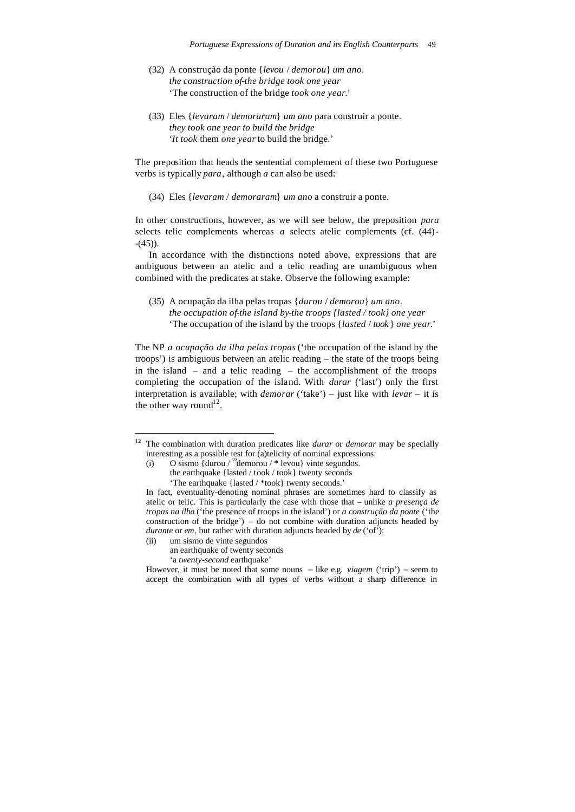- (32) A construção da ponte {*levou* / *demorou*} *um ano*. *the construction of-the bridge took one year* 'The construction of the bridge *took one year*.'
- (33) Eles {*levaram* / *demoraram*} *um ano* para construir a ponte. *they took one year to build the bridge* '*It took* them *one year* to build the bridge.'

The preposition that heads the sentential complement of these two Portuguese verbs is typically *para*, although *a* can also be used:

(34) Eles {*levaram* / *demoraram*} *um ano* a construir a ponte.

In other constructions, however, as we will see below, the preposition *para*  selects telic complements whereas *a* selects atelic complements (cf. (44)-  $-(45)$ ).

In accordance with the distinctions noted above, expressions that are ambiguous between an atelic and a telic reading are unambiguous when combined with the predicates at stake. Observe the following example:

(35) A ocupação da ilha pelas tropas {*durou* / *demorou*} *um ano*. *the occupation of-the island by-the troops {lasted / took} one year* 'The occupation of the island by the troops {*lasted* / *took* } *one year*.'

The NP *a ocupação da ilha pelas tropas* ('the occupation of the island by the troops') is ambiguous between an atelic reading – the state of the troops being in the island – and a telic reading – the accomplishment of the troops completing the occupation of the island. With *durar* ('last') only the first interpretation is available; with *demorar* ('take') – just like with *levar* – it is the other way round<sup>12</sup>.

(ii) um sismo de vinte segundos

j

an earthquake of twenty seconds 'a *twenty-second* earthquake'

<sup>12</sup> The combination with duration predicates like *durar* or *demorar* may be specially interesting as a possible test for (a)telicity of nominal expressions:

<sup>(</sup>i) O sismo {durou / "demorou /  $*$  levou } vinte segundos. the earthquake {lasted / took / took} twenty seconds

<sup>&#</sup>x27;The earthquake {lasted / \*took} twenty seconds.'

In fact, eventuality-denoting nominal phrases are sometimes hard to classify as atelic or telic. This is particularly the case with those that – unlike *a presença de tropas na ilha* ('the presence of troops in the island') or *a construção da ponte* ('the construction of the bridge') – do not combine with duration adjuncts headed by *durante* or *em*, but rather with duration adjuncts headed by *de* ('of'):

However, it must be noted that some nouns – like e.g. *viagem* ('trip') – seem to accept the combination with all types of verbs without a sharp difference in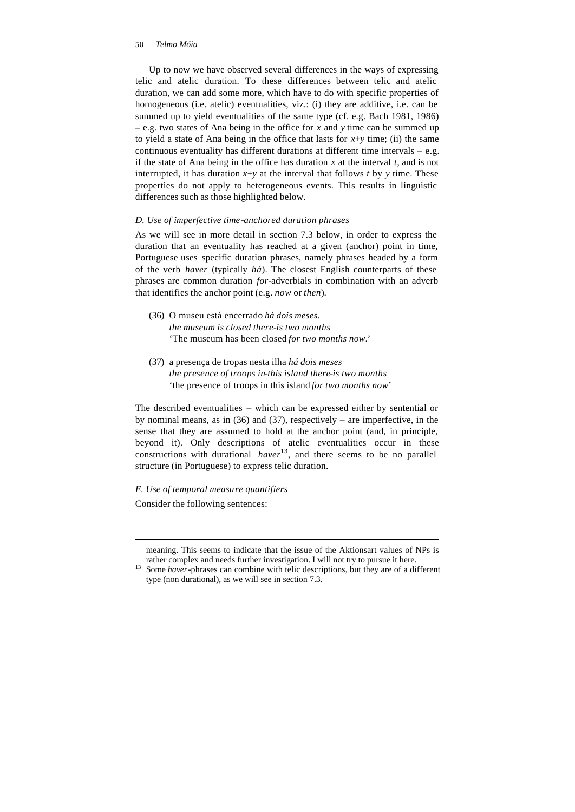Up to now we have observed several differences in the ways of expressing telic and atelic duration. To these differences between telic and atelic duration, we can add some more, which have to do with specific properties of homogeneous (i.e. atelic) eventualities, viz.: (i) they are additive, i.e. can be summed up to yield eventualities of the same type (cf. e.g. Bach 1981, 1986) – e.g. two states of Ana being in the office for *x* and *y* time can be summed up to yield a state of Ana being in the office that lasts for *x*+*y* time; (ii) the same continuous eventuality has different durations at different time intervals – e.g. if the state of Ana being in the office has duration *x* at the interval *t*, and is not interrupted, it has duration  $x+y$  at the interval that follows  $t$  by  $y$  time. These properties do not apply to heterogeneous events. This results in linguistic differences such as those highlighted below.

### *D. Use of imperfective time-anchored duration phrases*

As we will see in more detail in section 7.3 below, in order to express the duration that an eventuality has reached at a given (anchor) point in time, Portuguese uses specific duration phrases, namely phrases headed by a form of the verb *haver* (typically *há*). The closest English counterparts of these phrases are common duration *for*-adverbials in combination with an adverb that identifies the anchor point (e.g. *now* or *then*).

- (36) O museu está encerrado *há dois meses*. *the museum is closed there-is two months* 'The museum has been closed *for two months now*.'
- (37) a presença de tropas nesta ilha *há dois meses the presence of troops in-this island there-is two months* 'the presence of troops in this island *for two months now*'

The described eventualities – which can be expressed either by sentential or by nominal means, as in (36) and (37), respectively – are imperfective, in the sense that they are assumed to hold at the anchor point (and, in principle, beyond it). Only descriptions of atelic eventualities occur in these constructions with durational *haver*<sup>13</sup>, and there seems to be no parallel structure (in Portuguese) to express telic duration.

*E. Use of temporal measure quantifiers* Consider the following sentences:

l

meaning. This seems to indicate that the issue of the Aktionsart values of NPs is rather complex and needs further investigation. I will not try to pursue it here.

<sup>&</sup>lt;sup>13</sup> Some *haver*-phrases can combine with telic descriptions, but they are of a different type (non durational), as we will see in section 7.3.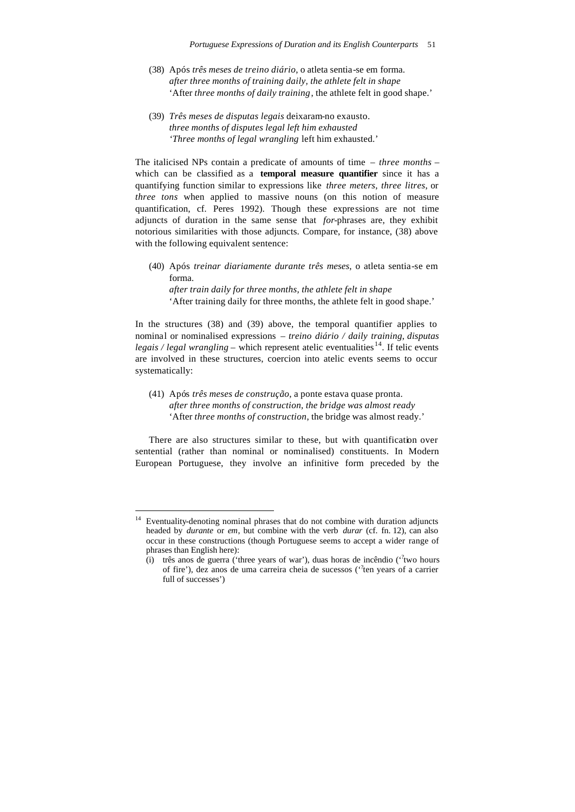- (38) Após *três meses de treino diário*, o atleta sentia-se em forma. *after three months of training daily, the athlete felt in shape* 'After *three months of daily training*, the athlete felt in good shape.'
- (39) *Três meses de disputas legais* deixaram-no exausto. *three months of disputes legal left him exhausted 'Three months of legal wrangling* left him exhausted.'

The italicised NPs contain a predicate of amounts of time – *three months* – which can be classified as a **temporal measure quantifier** since it has a quantifying function similar to expressions like *three meters*, *three litres*, or *three tons* when applied to massive nouns (on this notion of measure quantification, cf. Peres 1992). Though these expressions are not time adjuncts of duration in the same sense that *for*-phrases are, they exhibit notorious similarities with those adjuncts. Compare, for instance, (38) above with the following equivalent sentence:

(40) Após *treinar diariamente durante três meses*, o atleta sentia-se em forma. *after train daily for three months, the athlete felt in shape*

'After training daily for three months, the athlete felt in good shape.'

In the structures (38) and (39) above, the temporal quantifier applies to nominal or nominalised expressions – *treino diário / daily training*, *disputas legais / legal wrangling* – which represent atelic eventualities<sup>14</sup>. If telic events are involved in these structures, coercion into atelic events seems to occur systematically:

(41) Após *três meses de construção*, a ponte estava quase pronta. *after three months of construction, the bridge was almost ready* 'After *three months of construction*, the bridge was almost ready.'

There are also structures similar to these, but with quantification over sentential (rather than nominal or nominalised) constituents. In Modern European Portuguese, they involve an infinitive form preceded by the

Eventuality-denoting nominal phrases that do not combine with duration adjuncts headed by *durante* or *em*, but combine with the verb *durar* (cf. fn. 12), can also occur in these constructions (though Portuguese seems to accept a wider range of phrases than English here):

<sup>(</sup>i) três anos de guerra ('three years of war'), duas horas de incêndio (''two hours of fire'), dez anos de uma carreira cheia de sucessos ("ten years of a carrier full of successes')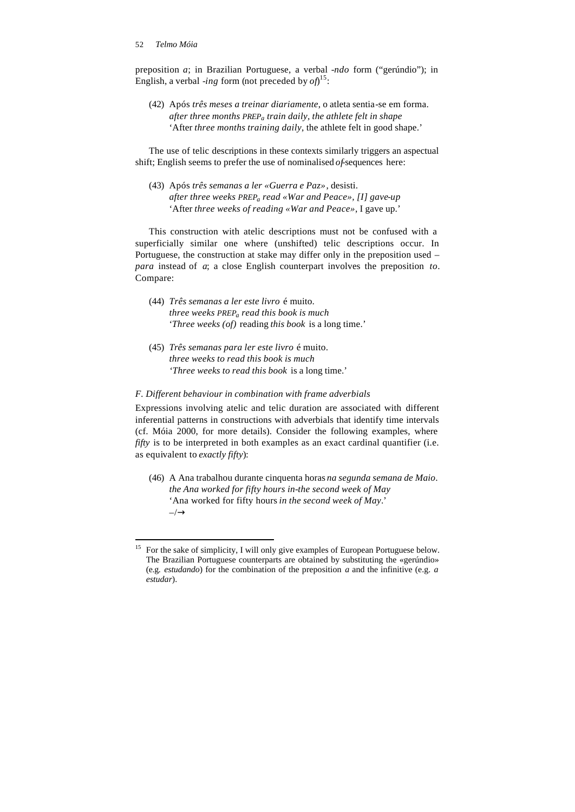l

preposition *a*; in Brazilian Portuguese, a verbal *-ndo* form ("gerúndio"); in English, a verbal *-ing* form (not preceded by  $of)^{15}$ :

(42) Após *três meses a treinar diariamente*, o atleta sentia-se em forma. *after three months PREP<sup>a</sup> train daily, the athlete felt in shape* 'After *three months training daily*, the athlete felt in good shape.'

The use of telic descriptions in these contexts similarly triggers an aspectual shift; English seems to prefer the use of nominalised *of*-sequences here:

(43) Após *três semanas a ler «Guerra e Paz»*, desisti. *after three weeks PREPa read «War and Peace», [I] gave-up* 'After *three weeks of reading «War and Peace»*, I gave up.'

This construction with atelic descriptions must not be confused with a superficially similar one where (unshifted) telic descriptions occur. In Portuguese, the construction at stake may differ only in the preposition used – *para* instead of *a*; a close English counterpart involves the preposition *to*. Compare:

- (44) *Três semanas a ler este livro* é muito. *three weeks PREPa read this book is much* '*Three weeks (of)* reading *this book* is a long time.'
- (45) *Três semanas para ler este livro* é muito. *three weeks to read this book is much 'Three weeks to read this book* is a long time.'

### *F. Different behaviour in combination with frame adverbials*

Expressions involving atelic and telic duration are associated with different inferential patterns in constructions with adverbials that identify time intervals (cf. Móia 2000, for more details). Consider the following examples, where *fifty* is to be interpreted in both examples as an exact cardinal quantifier (i.e. as equivalent to *exactly fifty*):

(46) A Ana trabalhou durante cinquenta horas *na segunda semana de Maio*. *the Ana worked for fifty hours in-the second week of May* 'Ana worked for fifty hours *in the second week of May*.'  $-\rightarrow$ 

<sup>&</sup>lt;sup>15</sup> For the sake of simplicity, I will only give examples of European Portuguese below. The Brazilian Portuguese counterparts are obtained by substituting the «gerúndio» (e.g. *estudando*) for the combination of the preposition *a* and the infinitive (e.g. *a estudar*).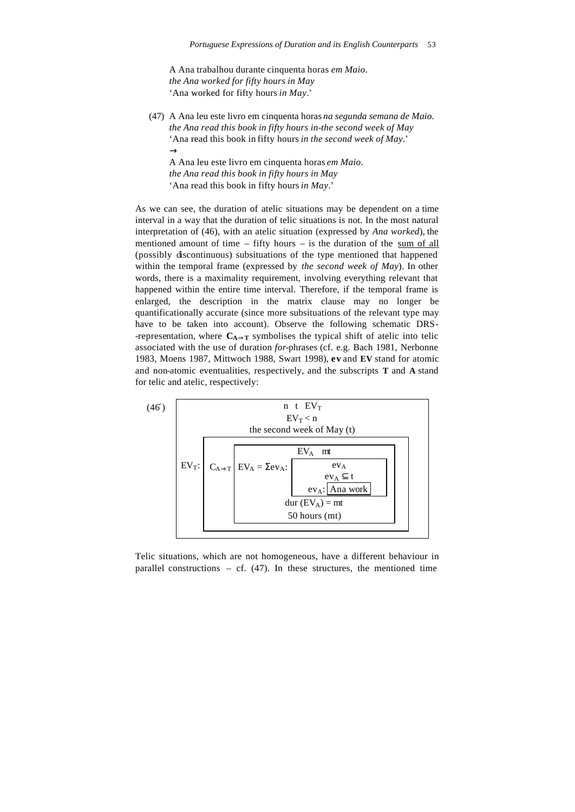A Ana trabalhou durante cinquenta horas *em Maio*. *the Ana worked for fifty hours in May* 'Ana worked for fifty hours *in May*.'

(47) A Ana leu este livro em cinquenta horas *na segunda semana de Maio*. *the Ana read this book in fifty hours in-the second week of May* 'Ana read this book in fifty hours *in the second week of May*.'  $\rightarrow$ A Ana leu este livro em cinquenta horas *em Maio*.

*the Ana read this book in fifty hours in May* 'Ana read this book in fifty hours *in May*.'

As we can see, the duration of atelic situations may be dependent on a time interval in a way that the duration of telic situations is not. In the most natural interpretation of (46), with an atelic situation (expressed by *Ana worked*), the mentioned amount of time  $-$  fifty hours  $-$  is the duration of the sum of all (possibly discontinuous) subsituations of the type mentioned that happened within the temporal frame (expressed by *the second week of May*). In other words, there is a maximality requirement, involving everything relevant that happened within the entire time interval. Therefore, if the temporal frame is enlarged, the description in the matrix clause may no longer be quantificationally accurate (since more subsituations of the relevant type may have to be taken into account). Observe the following schematic DRS- -representation, where  $C_{A\Rightarrow T}$  symbolises the typical shift of atelic into telic associated with the use of duration *for-*phrases (cf. e.g. Bach 1981, Nerbonne 1983, Moens 1987, Mittwoch 1988, Swart 1998), **ev** and **EV** stand for atomic and non-atomic eventualities, respectively, and the subscripts **T** and **A** stand for telic and atelic, respectively:



Telic situations, which are not homogeneous, have a different behaviour in parallel constructions  $-$  cf. (47). In these structures, the mentioned time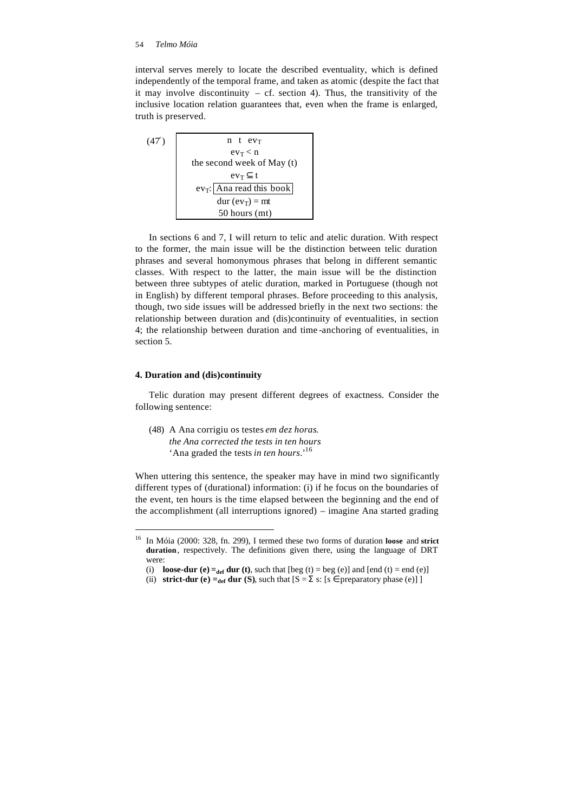interval serves merely to locate the described eventuality, which is defined independently of the temporal frame, and taken as atomic (despite the fact that it may involve discontinuity  $-$  cf. section 4). Thus, the transitivity of the inclusive location relation guarantees that, even when the frame is enlarged, truth is preserved.



In sections 6 and 7, I will return to telic and atelic duration. With respect to the former, the main issue will be the distinction between telic duration phrases and several homonymous phrases that belong in different semantic classes. With respect to the latter, the main issue will be the distinction between three subtypes of atelic duration, marked in Portuguese (though not in English) by different temporal phrases. Before proceeding to this analysis, though, two side issues will be addressed briefly in the next two sections: the relationship between duration and (dis)continuity of eventualities, in section 4; the relationship between duration and time -anchoring of eventualities, in section 5.

# **4. Duration and (dis)continuity**

l

Telic duration may present different degrees of exactness. Consider the following sentence:

(48) A Ana corrigiu os testes *em dez horas*. *the Ana corrected the tests in ten hours* 'Ana graded the tests *in ten hours*.'<sup>16</sup>

When uttering this sentence, the speaker may have in mind two significantly different types of (durational) information: (i) if he focus on the boundaries of the event, ten hours is the time elapsed between the beginning and the end of the accomplishment (all interruptions ignored) – imagine Ana started grading

<sup>16</sup> In Móia (2000: 328, fn. 299), I termed these two forms of duration **loose** and **strict duration**, respectively. The definitions given there, using the language of DRT were:

<sup>(</sup>i) **loose-dur (e)**  $=_{def}$  dur (t), such that [beg (t)  $=$  beg (e)] and [end (t)  $=$  end (e)]

<sup>(</sup>ii) **strict-dur (e)**  $=_{def}$  **dur (S), such that**  $[S = \Sigma s: [s \in \text{preparatory phase (e)}]$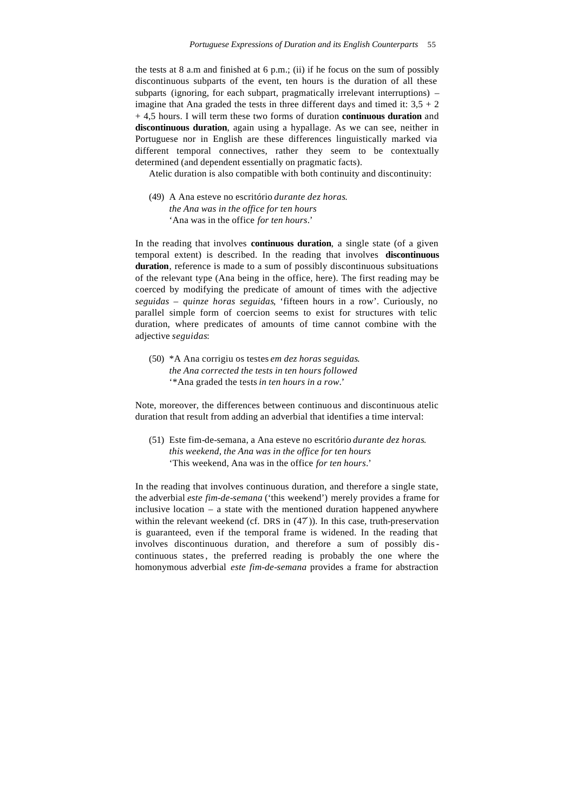the tests at 8 a.m and finished at 6 p.m.; (ii) if he focus on the sum of possibly discontinuous subparts of the event, ten hours is the duration of all these subparts (ignoring, for each subpart, pragmatically irrelevant interruptions) – imagine that Ana graded the tests in three different days and timed it:  $3.5 + 2$ + 4,5 hours. I will term these two forms of duration **continuous duration** and **discontinuous duration**, again using a hypallage. As we can see, neither in Portuguese nor in English are these differences linguistically marked via different temporal connectives, rather they seem to be contextually determined (and dependent essentially on pragmatic facts).

Atelic duration is also compatible with both continuity and discontinuity:

(49) A Ana esteve no escritório *durante dez horas*. *the Ana was in the office for ten hours* 'Ana was in the office *for ten hours*.'

In the reading that involves **continuous duration**, a single state (of a given temporal extent) is described. In the reading that involves **discontinuous duration**, reference is made to a sum of possibly discontinuous subsituations of the relevant type (Ana being in the office, here). The first reading may be coerced by modifying the predicate of amount of times with the adjective *seguidas* – *quinze horas seguidas*, 'fifteen hours in a row'. Curiously, no parallel simple form of coercion seems to exist for structures with telic duration, where predicates of amounts of time cannot combine with the adjective *seguidas*:

(50) \*A Ana corrigiu os testes *em dez horas seguidas*. *the Ana corrected the tests in ten hours followed* '\*Ana graded the tests *in ten hours in a row*.'

Note, moreover, the differences between continuous and discontinuous atelic duration that result from adding an adverbial that identifies a time interval:

(51) Este fim-de-semana, a Ana esteve no escritório *durante dez horas*. *this weekend, the Ana was in the office for ten hours* 'This weekend, Ana was in the office *for ten hours*.'

In the reading that involves continuous duration, and therefore a single state, the adverbial *este fim-de-semana* ('this weekend') merely provides a frame for inclusive location – a state with the mentioned duration happened anywhere within the relevant weekend (cf. DRS in  $(47')$ ). In this case, truth-preservation is guaranteed, even if the temporal frame is widened. In the reading that involves discontinuous duration, and therefore a sum of possibly discontinuous states, the preferred reading is probably the one where the homonymous adverbial *este fim-de-semana* provides a frame for abstraction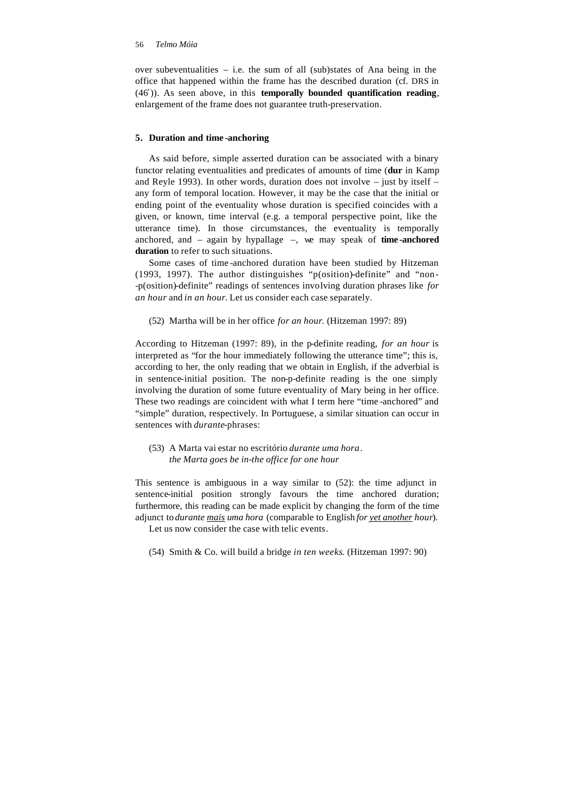over subeventualities – i.e. the sum of all (sub)states of Ana being in the office that happened within the frame has the described duration (cf. DRS in (46′)). As seen above, in this **temporally bounded quantification reading**, enlargement of the frame does not guarantee truth-preservation.

# **5. Duration and time -anchoring**

As said before, simple asserted duration can be associated with a binary functor relating eventualities and predicates of amounts of time (**dur** in Kamp and Reyle 1993). In other words, duration does not involve – just by itself – any form of temporal location. However, it may be the case that the initial or ending point of the eventuality whose duration is specified coincides with a given, or known, time interval (e.g. a temporal perspective point, like the utterance time). In those circumstances, the eventuality is temporally anchored, and – again by hypallage –, we may speak of **time -anchored duration** to refer to such situations.

Some cases of time -anchored duration have been studied by Hitzeman (1993, 1997). The author distinguishes "p(osition)-definite" and "non- -p(osition)-definite" readings of sentences involving duration phrases like *for an hour* and *in an hour*. Let us consider each case separately.

# (52) Martha will be in her office *for an hour*. (Hitzeman 1997: 89)

According to Hitzeman (1997: 89), in the p-definite reading, *for an hour* is interpreted as "for the hour immediately following the utterance time"; this is, according to her, the only reading that we obtain in English, if the adverbial is in sentence-initial position. The non-p-definite reading is the one simply involving the duration of some future eventuality of Mary being in her office. These two readings are coincident with what I term here "time -anchored" and "simple" duration, respectively. In Portuguese, a similar situation can occur in sentences with *durante*-phrases:

# (53) A Marta vai estar no escritório *durante uma hora*. *the Marta goes be in-the office for one hour*

This sentence is ambiguous in a way similar to (52): the time adjunct in sentence-initial position strongly favours the time anchored duration; furthermore, this reading can be made explicit by changing the form of the time adjunct to *durante mais uma hora* (comparable to English *for yet another hour*).

Let us now consider the case with telic events*.*

(54) Smith & Co. will build a bridge *in ten weeks*. (Hitzeman 1997: 90)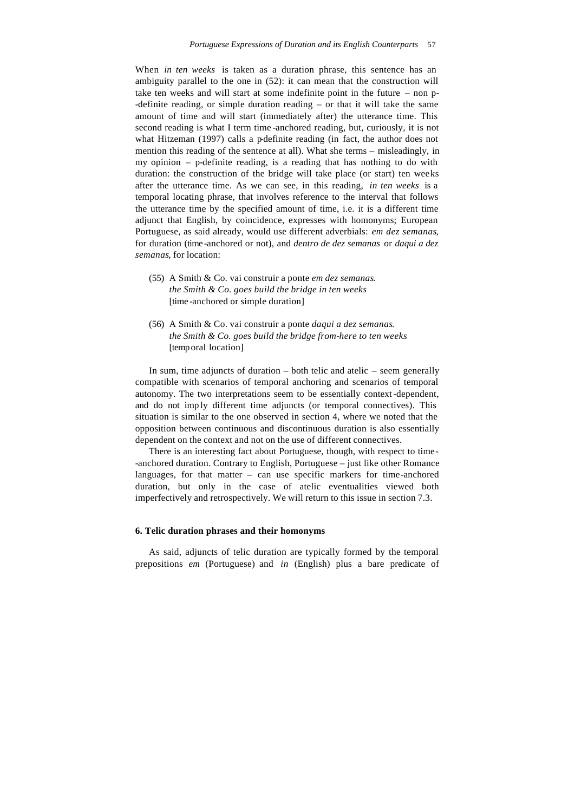When *in ten weeks* is taken as a duration phrase, this sentence has an ambiguity parallel to the one in (52): it can mean that the construction will take ten weeks and will start at some indefinite point in the future – non p- -definite reading, or simple duration reading – or that it will take the same amount of time and will start (immediately after) the utterance time. This second reading is what I term time -anchored reading, but, curiously, it is not what Hitzeman (1997) calls a p-definite reading (in fact, the author does not mention this reading of the sentence at all). What she terms – misleadingly, in my opinion – p-definite reading, is a reading that has nothing to do with duration: the construction of the bridge will take place (or start) ten weeks after the utterance time. As we can see, in this reading, *in ten weeks* is a temporal locating phrase, that involves reference to the interval that follows the utterance time by the specified amount of time, i.e. it is a different time adjunct that English, by coincidence, expresses with homonyms; European Portuguese, as said already, would use different adverbials: *em dez semanas*, for duration (time -anchored or not), and *dentro de dez semanas* or *daqui a dez semanas*, for location:

- (55) A Smith & Co. vai construir a ponte *em dez semanas*. *the Smith & Co. goes build the bridge in ten weeks* [time -anchored or simple duration]
- (56) A Smith & Co. vai construir a ponte *daqui a dez semanas*. *the Smith & Co. goes build the bridge from-here to ten weeks* [temporal location]

In sum, time adjuncts of duration – both telic and atelic – seem generally compatible with scenarios of temporal anchoring and scenarios of temporal autonomy. The two interpretations seem to be essentially context-dependent, and do not imp ly different time adjuncts (or temporal connectives). This situation is similar to the one observed in section 4, where we noted that the opposition between continuous and discontinuous duration is also essentially dependent on the context and not on the use of different connectives.

There is an interesting fact about Portuguese, though, with respect to time- -anchored duration. Contrary to English, Portuguese – just like other Romance languages, for that matter – can use specific markers for time-anchored duration, but only in the case of atelic eventualities viewed both imperfectively and retrospectively. We will return to this issue in section 7.3.

### **6. Telic duration phrases and their homonyms**

As said, adjuncts of telic duration are typically formed by the temporal prepositions *em* (Portuguese) and *in* (English) plus a bare predicate of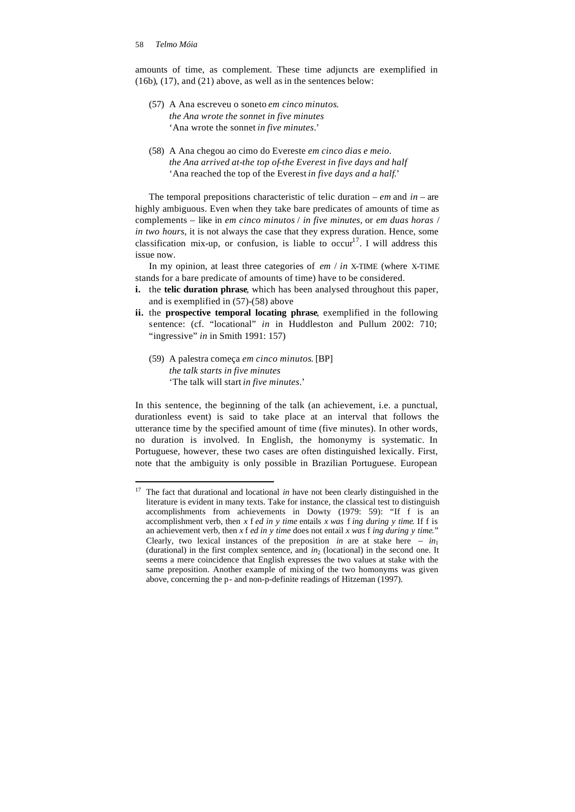j

amounts of time, as complement. These time adjuncts are exemplified in (16b), (17), and (21) above, as well as in the sentences below:

- (57) A Ana escreveu o soneto *em cinco minutos*. *the Ana wrote the sonnet in five minutes* 'Ana wrote the sonnet *in five minutes*.'
- (58) A Ana chegou ao cimo do Evereste *em cinco dias e meio*. *the Ana arrived at-the top of-the Everest in five days and half* 'Ana reached the top of the Everest *in five days and a half*.'

The temporal prepositions characteristic of telic duration – *em* and *in* – are highly ambiguous. Even when they take bare predicates of amounts of time as complements – like in *em cinco minutos* / *in five minutes*, or *em duas horas* / *in two hours*, it is not always the case that they express duration. Hence, some classification mix-up, or confusion, is liable to  $occur<sup>17</sup>$ . I will address this issue now.

In my opinion, at least three categories of *em* / *in* X-TIME (where X-TIME stands for a bare predicate of amounts of time) have to be considered.

- **i.** the **telic duration phrase**, which has been analysed throughout this paper, and is exemplified in (57)-(58) above
- **ii.** the **prospective temporal locating phrase**, exemplified in the following sentence: (cf. "locational" *in* in Huddleston and Pullum 2002: 710; "ingressive" *in* in Smith 1991: 157)
	- (59) A palestra começa *em cinco minutos*. [BP] *the talk starts in five minutes* 'The talk will start *in five minutes*.'

In this sentence, the beginning of the talk (an achievement, i.e. a punctual, durationless event) is said to take place at an interval that follows the utterance time by the specified amount of time (five minutes). In other words, no duration is involved. In English, the homonymy is systematic. In Portuguese, however, these two cases are often distinguished lexically. First, note that the ambiguity is only possible in Brazilian Portuguese. European

<sup>&</sup>lt;sup>17</sup> The fact that durational and locational *in* have not been clearly distinguished in the literature is evident in many texts. Take for instance, the classical test to distinguish accomplishments from achievements in Dowty (1979: 59): "If f is an accomplishment verb, then *x* f *ed in y time* entails *x was* f *ing during y time*. If f is an achievement verb, then *x* f *ed in y time* does not entail *x was* f *ing during y time*." Clearly, two lexical instances of the preposition *in* are at stake here –  $in_1$ (durational) in the first complex sentence, and  $in_2$  (locational) in the second one. It seems a mere coincidence that English expresses the two values at stake with the same preposition. Another example of mixing of the two homonyms was given above, concerning the p- and non-p-definite readings of Hitzeman (1997).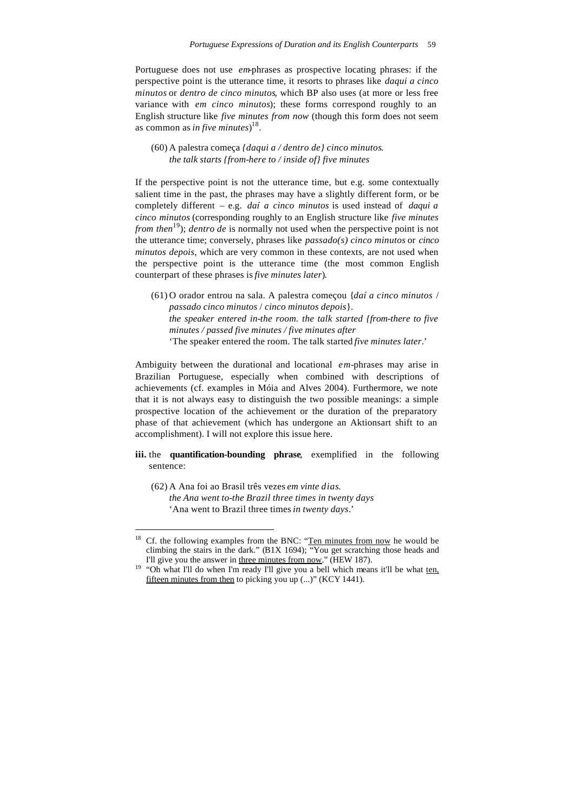Portuguese does not use *em*-phrases as prospective locating phrases: if the perspective point is the utterance time, it resorts to phrases like *daqui a cinco minutos* or *dentro de cinco minutos*, which BP also uses (at more or less free variance with *em cinco minutos*); these forms correspond roughly to an English structure like *five minutes from now* (though this form does not seem as common as *in five minutes*) 18 .

 (60) A palestra começa *{daqui a / dentro de} cinco minutos*. *the talk starts {from-here to / inside of} five minutes*

If the perspective point is not the utterance time, but e.g. some contextually salient time in the past, the phrases may have a slightly different form, or be completely different – e.g. *daí a cinco minutos* is used instead of *daqui a cinco minutos* (corresponding roughly to an English structure like *five minutes from then*<sup>19</sup>); *dentro de* is normally not used when the perspective point is not the utterance time; conversely, phrases like *passado(s) cinco minutos* or *cinco minutos depois*, which are very common in these contexts, are not used when the perspective point is the utterance time (the most common English counterpart of these phrases is *five minutes later*)*.*

 (61) O orador entrou na sala. A palestra começou {*daí a cinco minutos* / *passado cinco minutos* / *cinco minutos depois*}. *the speaker entered in-the room. the talk started {from-there to five minutes / passed five minutes / five minutes after* 'The speaker entered the room. The talk started *five minutes later*.'

Ambiguity between the durational and locational *em*-phrases may arise in Brazilian Portuguese, especially when combined with descriptions of achievements (cf. examples in Móia and Alves 2004). Furthermore, we note that it is not always easy to distinguish the two possible meanings: a simple prospective location of the achievement or the duration of the preparatory phase of that achievement (which has undergone an Aktionsart shift to an accomplishment). I will not explore this issue here.

- **iii.** the **quantification-bounding phrase**, exemplified in the following sentence:
	- (62) A Ana foi ao Brasil três vezes *em vinte dias*. *the Ana went to-the Brazil three times in twenty days* 'Ana went to Brazil three times *in twenty days*.'

l

Cf. the following examples from the BNC: "Ten minutes from now he would be climbing the stairs in the dark." (B1X 1694); "You get scratching those heads and I'll give you the answer in three minutes from now." (HEW 187).

<sup>&</sup>lt;sup>19</sup> "Oh what I'll do when I'm ready I'll give you a bell which means it'll be what ten, fifteen minutes from then to picking you up (...)" (KCY 1441).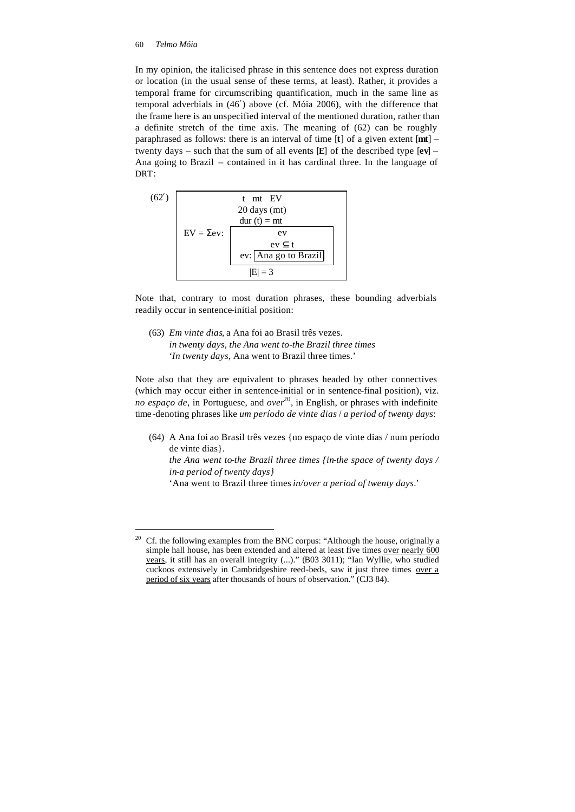l

In my opinion, the italicised phrase in this sentence does not express duration or location (in the usual sense of these terms, at least). Rather, it provides a temporal frame for circumscribing quantification, much in the same line as temporal adverbials in (46′) above (cf. Móia 2006), with the difference that the frame here is an unspecified interval of the mentioned duration, rather than a definite stretch of the time axis. The meaning of (62) can be roughly paraphrased as follows: there is an interval of time [**t**] of a given extent [**mt**] – twenty days – such that the sum of all events [**E**] of the described type [**ev**] – Ana going to Brazil – contained in it has cardinal three. In the language of DRT:



Note that, contrary to most duration phrases, these bounding adverbials readily occur in sentence-initial position:

(63) *Em vinte dias*, a Ana foi ao Brasil três vezes. *in twenty days, the Ana went to-the Brazil three times* '*In twenty days*, Ana went to Brazil three times.'

Note also that they are equivalent to phrases headed by other connectives (which may occur either in sentence-initial or in sentence-final position), viz. *no espaço de*, in Portuguese, and *over* <sup>20</sup>, in English, or phrases with indefinite time -denoting phrases like *um período de vinte dias* / *a period of twenty days*:

(64) A Ana foi ao Brasil três vezes {no espaço de vinte dias / num período de vinte dias}.

*the Ana went to-the Brazil three times {in-the space of twenty days / in-a period of twenty days}*

'Ana went to Brazil three times *in/over a period of twenty days*.'

<sup>&</sup>lt;sup>20</sup> Cf. the following examples from the BNC corpus: "Although the house, originally a simple hall house, has been extended and altered at least five times over nearly 600 years, it still has an overall integrity (...)." (B03 3011); "Ian Wyllie, who studied cuckoos extensively in Cambridgeshire reed-beds, saw it just three times over a period of six years after thousands of hours of observation." (CJ3 84).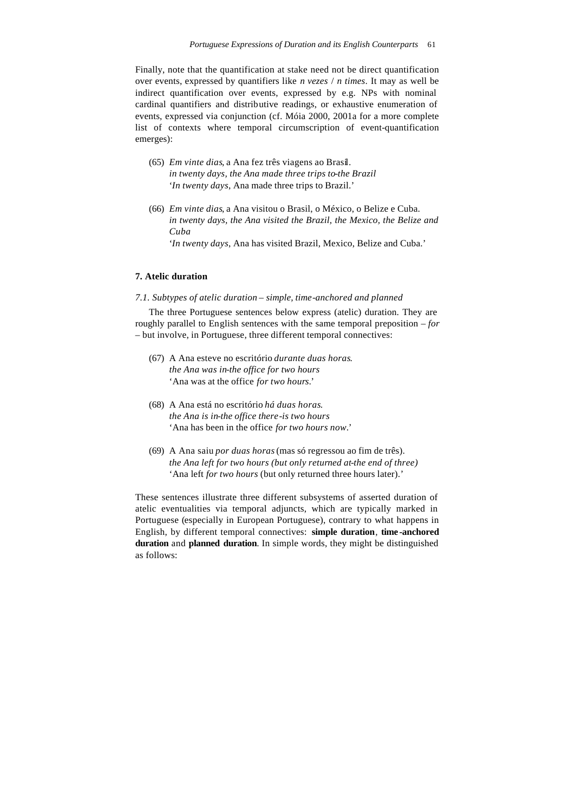Finally, note that the quantification at stake need not be direct quantification over events, expressed by quantifiers like *n vezes* / *n times*. It may as well be indirect quantification over events, expressed by e.g. NPs with nominal cardinal quantifiers and distributive readings, or exhaustive enumeration of events, expressed via conjunction (cf. Móia 2000, 2001a for a more complete list of contexts where temporal circumscription of event-quantification emerges):

- (65) *Em vinte dias*, a Ana fez três viagens ao Brasil. *in twenty days, the Ana made three trips to-the Brazil* '*In twenty days*, Ana made three trips to Brazil.'
- (66) *Em vinte dias*, a Ana visitou o Brasil, o México, o Belize e Cuba. *in twenty days, the Ana visited the Brazil, the Mexico, the Belize and Cuba*

'*In twenty days*, Ana has visited Brazil, Mexico, Belize and Cuba.'

# **7. Atelic duration**

### *7.1. Subtypes of atelic duration – simple, time-anchored and planned*

The three Portuguese sentences below express (atelic) duration. They are roughly parallel to English sentences with the same temporal preposition – *for* – but involve, in Portuguese, three different temporal connectives:

- (67) A Ana esteve no escritório *durante duas horas*. *the Ana was in-the office for two hours* 'Ana was at the office *for two hours*.'
- (68) A Ana está no escritório *há duas horas*. *the Ana is in-the office there-is two hours* 'Ana has been in the office *for two hours now*.'
- (69) A Ana saiu *por duas horas* (mas só regressou ao fim de três). *the Ana left for two hours (but only returned at-the end of three)* 'Ana left *for two hours* (but only returned three hours later).'

These sentences illustrate three different subsystems of asserted duration of atelic eventualities via temporal adjuncts, which are typically marked in Portuguese (especially in European Portuguese), contrary to what happens in English, by different temporal connectives: **simple duration**, **time -anchored duration** and **planned duration**. In simple words, they might be distinguished as follows: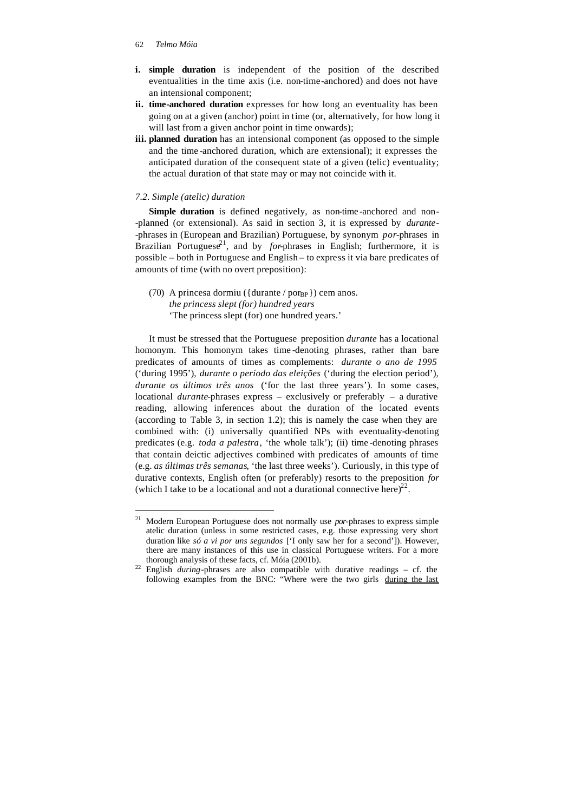- **i. simple duration** is independent of the position of the described eventualities in the time axis (i.e. non-time-anchored) and does not have an intensional component;
- **ii. time-anchored duration** expresses for how long an eventuality has been going on at a given (anchor) point in time (or, alternatively, for how long it will last from a given anchor point in time onwards);
- **iii. planned duration** has an intensional component (as opposed to the simple and the time -anchored duration, which are extensional); it expresses the anticipated duration of the consequent state of a given (telic) eventuality; the actual duration of that state may or may not coincide with it.

### *7.2. Simple (atelic) duration*

Simple duration is defined negatively, as non-time-anchored and non--planned (or extensional). As said in section 3, it is expressed by *durante*- -phrases in (European and Brazilian) Portuguese, by synonym *por*-phrases in Brazilian Portuguese<sup>21</sup>, and by *for*-phrases in English; furthermore, it is possible – both in Portuguese and English – to express it via bare predicates of amounts of time (with no overt preposition):

(70) A princesa dormiu ( ${\text{durante}} / \text{por}_{\text{BP}}$ ) cem anos. *the princess slept (for) hundred years* 'The princess slept (for) one hundred years.'

It must be stressed that the Portuguese preposition *durante* has a locational homonym. This homonym takes time -denoting phrases, rather than bare predicates of amounts of times as complements: *durante o ano de 1995*  ('during 1995'), *durante o período das eleições* ('during the election period')*, durante os últimos três anos* ('for the last three years')*.* In some cases, locational *durante*-phrases express – exclusively or preferably – a durative reading, allowing inferences about the duration of the located events (according to Table 3, in section 1.2); this is namely the case when they are combined with: (i) universally quantified NPs with eventuality-denoting predicates (e.g. *toda a palestra*, 'the whole talk'); (ii) time -denoting phrases that contain deictic adjectives combined with predicates of amounts of time (e.g. *as últimas três semanas*, 'the last three weeks'). Curiously, in this type of durative contexts, English often (or preferably) resorts to the preposition *for*  (which I take to be a locational and not a durational connective here)<sup>22</sup>.

<sup>21</sup> Modern European Portuguese does not normally use *por*-phrases to express simple atelic duration (unless in some restricted cases, e.g. those expressing very short duration like *só a vi por uns segundos* ['I only saw her for a second']). However, there are many instances of this use in classical Portuguese writers. For a more thorough analysis of these facts, cf. Móia (2001b).

<sup>&</sup>lt;sup>22</sup> English *during*-phrases are also compatible with durative readings – cf. the following examples from the BNC: "Where were the two girls during the last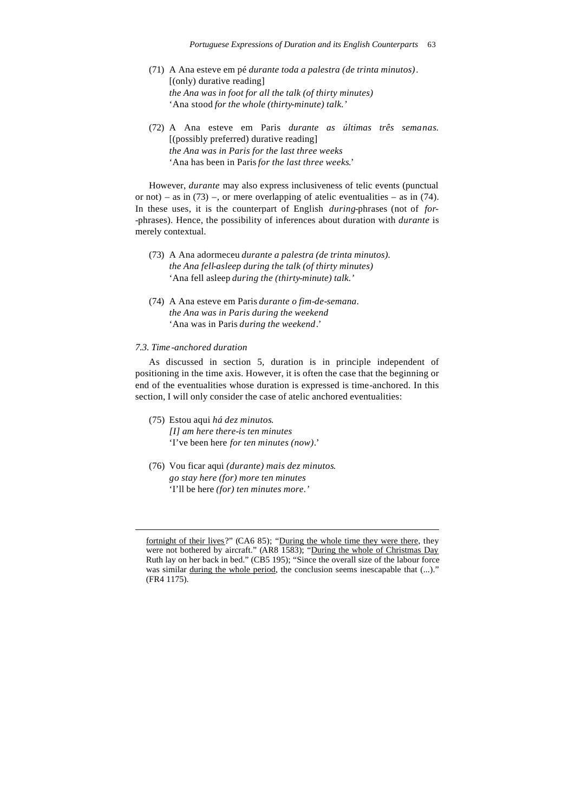- (71) A Ana esteve em pé *durante toda a palestra (de trinta minutos)*. [(only) durative reading] *the Ana was in foot for all the talk (of thirty minutes)* 'Ana stood *for the whole (thirty-minute) talk.'*
- (72) A Ana esteve em Paris *durante as últimas três semanas*. [(possibly preferred) durative reading] *the Ana was in Paris for the last three weeks* 'Ana has been in Paris *for the last three weeks*.'

However, *durante* may also express inclusiveness of telic events (punctual or not) – as in  $(73)$  –, or mere overlapping of atelic eventualities – as in  $(74)$ . In these uses, it is the counterpart of English *during*-phrases (not of *for*- -phrases). Hence, the possibility of inferences about duration with *durante* is merely contextual.

- (73) A Ana adormeceu *durante a palestra (de trinta minutos). the Ana fell-asleep during the talk (of thirty minutes)* 'Ana fell asleep *during the (thirty-minute) talk.'*
- (74) A Ana esteve em Paris *durante o fim-de-semana*. *the Ana was in Paris during the weekend* 'Ana was in Paris *during the weekend*.'

# *7.3. Time -anchored duration*

l

As discussed in section 5, duration is in principle independent of positioning in the time axis. However, it is often the case that the beginning or end of the eventualities whose duration is expressed is time-anchored. In this section, I will only consider the case of atelic anchored eventualities:

- (75) Estou aqui *há dez minutos*. *[I] am here there-is ten minutes* 'I've been here *for ten minutes (now)*.'
- (76) Vou ficar aqui *(durante) mais dez minutos*. *go stay here (for) more ten minutes* 'I'll be here *(for) ten minutes more.'*

fortnight of their lives?" (CA6 85); "During the whole time they were there, they were not bothered by aircraft." (AR8 1583); "During the whole of Christmas Day Ruth lay on her back in bed." (CB5 195); "Since the overall size of the labour force was similar <u>during the whole period</u>, the conclusion seems inescapable that  $(\ldots)$ ." (FR4 1175).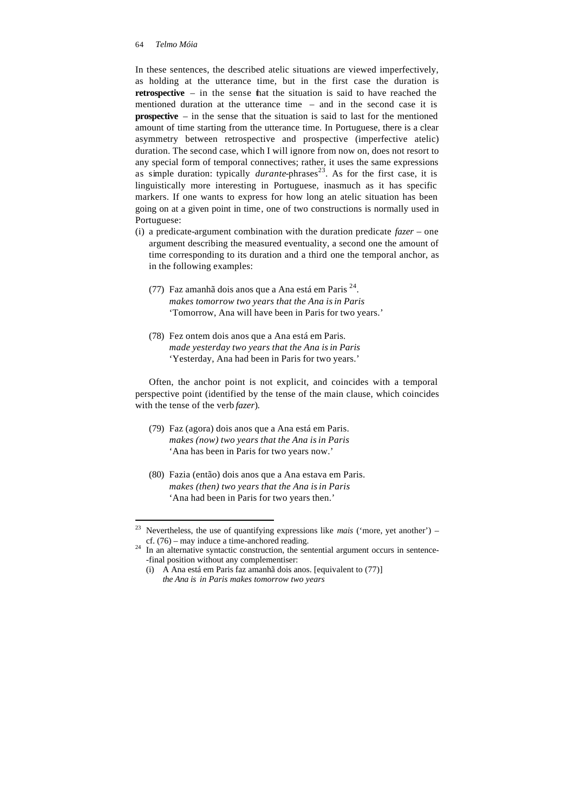In these sentences, the described atelic situations are viewed imperfectively, as holding at the utterance time, but in the first case the duration is **retrospective** – in the sense that the situation is said to have reached the mentioned duration at the utterance time – and in the second case it is **prospective** – in the sense that the situation is said to last for the mentioned amount of time starting from the utterance time. In Portuguese, there is a clear asymmetry between retrospective and prospective (imperfective atelic) duration. The second case, which I will ignore from now on, does not resort to any special form of temporal connectives; rather, it uses the same expressions as simple duration: typically *durante*-phrases<sup>23</sup>. As for the first case, it is linguistically more interesting in Portuguese, inasmuch as it has specific markers. If one wants to express for how long an atelic situation has been going on at a given point in time, one of two constructions is normally used in Portuguese:

- (i) a predicate-argument combination with the duration predicate *fazer* one argument describing the measured eventuality, a second one the amount of time corresponding to its duration and a third one the temporal anchor, as in the following examples:
	- (77) Faz amanhã dois anos que a Ana está em Paris  $2^4$ . *makes tomorrow two years that the Ana isin Paris* 'Tomorrow, Ana will have been in Paris for two years.'
	- (78) Fez ontem dois anos que a Ana está em Paris. *made yesterday two years that the Ana isin Paris* 'Yesterday, Ana had been in Paris for two years.'

Often, the anchor point is not explicit, and coincides with a temporal perspective point (identified by the tense of the main clause, which coincides with the tense of the verb *fazer*).

- (79) Faz (agora) dois anos que a Ana está em Paris. *makes (now) two years that the Ana isin Paris* 'Ana has been in Paris for two years now.'
- (80) Fazia (então) dois anos que a Ana estava em Paris. *makes (then) two years that the Ana isin Paris* 'Ana had been in Paris for two years then.'

 $2<sup>3</sup>$ Nevertheless, the use of quantifying expressions like *mais* ('more, yet another') – cf. (76) – may induce a time-anchored reading.

 $24$  In an alternative syntactic construction, the sentential argument occurs in sentence--final position without any complementiser:

<sup>(</sup>i) A Ana está em Paris faz amanhã dois anos. [equivalent to (77)] *the Ana is in Paris makes tomorrow two years*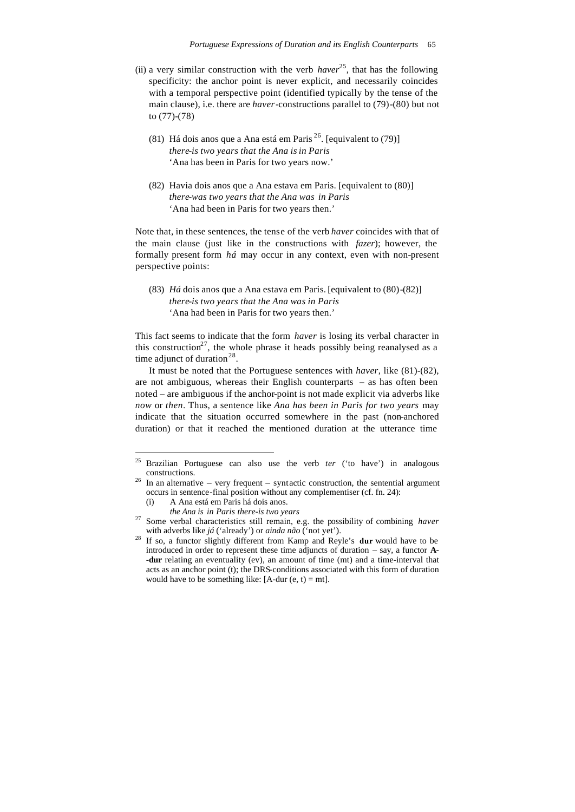- (ii) a very similar construction with the verb  $haver^{25}$ , that has the following specificity: the anchor point is never explicit, and necessarily coincides with a temporal perspective point (identified typically by the tense of the main clause), i.e. there are *haver*-constructions parallel to (79)-(80) but not to (77)-(78)
	- (81) Há dois anos que a Ana está em Paris  $^{26}$ . [equivalent to (79)] *there-is two years that the Ana isin Paris* 'Ana has been in Paris for two years now.'
	- (82) Havia dois anos que a Ana estava em Paris. [equivalent to (80)] *there-was two years that the Ana was in Paris* 'Ana had been in Paris for two years then.'

Note that, in these sentences, the tense of the verb *haver* coincides with that of the main clause (just like in the constructions with *fazer*); however, the formally present form *há* may occur in any context, even with non-present perspective points:

(83) *Há* dois anos que a Ana estava em Paris. [equivalent to (80)-(82)] *there-is two years that the Ana was in Paris* 'Ana had been in Paris for two years then.'

This fact seems to indicate that the form *haver* is losing its verbal character in this construction<sup>27</sup>, the whole phrase it heads possibly being reanalysed as a time adjunct of duration<sup>28</sup>.

It must be noted that the Portuguese sentences with *haver*, like (81)-(82), are not ambiguous, whereas their English counterparts – as has often been noted – are ambiguous if the anchor-point is not made explicit via adverbs like *now* or *then*. Thus, a sentence like *Ana has been in Paris for two years* may indicate that the situation occurred somewhere in the past (non-anchored duration) or that it reached the mentioned duration at the utterance time

*the Ana is in Paris there-is two years*

<sup>25</sup> <sup>25</sup> Brazilian Portuguese can also use the verb *ter* ('to have') in analogous constructions.

 $26$  In an alternative – very frequent – syntactic construction, the sentential argument occurs in sentence-final position without any complementiser (cf. fn. 24):

<sup>(</sup>i) A Ana está em Paris há dois anos.

<sup>27</sup> Some verbal characteristics still remain, e.g. the possibility of combining *haver*  with adverbs like *já* ('already') or *ainda não* ('not yet').

<sup>28</sup> If so, a functor slightly different from Kamp and Reyle's **dur** would have to be introduced in order to represent these time adjuncts of duration – say, a functor **A- -dur** relating an eventuality (ev), an amount of time (mt) and a time-interval that acts as an anchor point (t); the DRS-conditions associated with this form of duration would have to be something like:  $[A-dur(e, t) = mt]$ .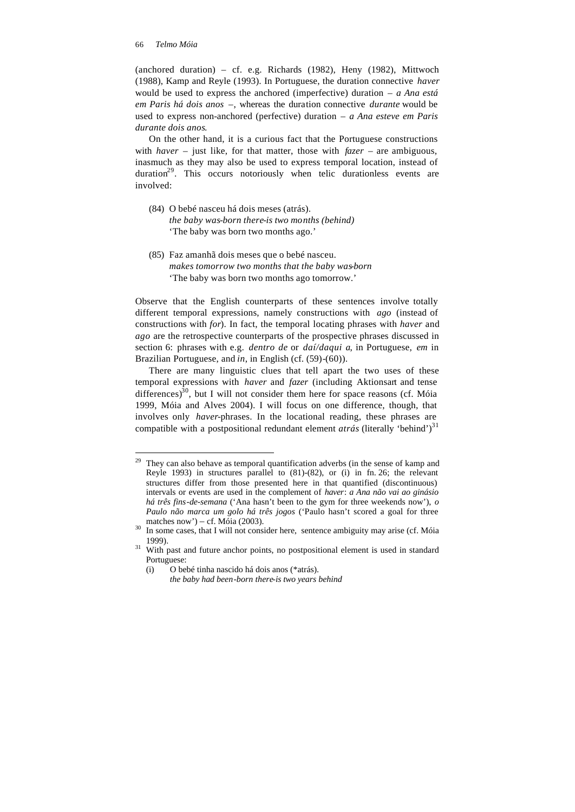(anchored duration) – cf. e.g. Richards (1982), Heny (1982), Mittwoch (1988), Kamp and Reyle (1993). In Portuguese, the duration connective *haver* would be used to express the anchored (imperfective) duration – *a Ana está em Paris há dois anos* –, whereas the duration connective *durante* would be used to express non-anchored (perfective) duration – *a Ana esteve em Paris durante dois anos*.

On the other hand, it is a curious fact that the Portuguese constructions with *haver* – just like, for that matter, those with *fazer* – are ambiguous, inasmuch as they may also be used to express temporal location, instead of duration $2^9$ . This occurs notoriously when telic durationless events are involved:

- (84) O bebé nasceu há dois meses (atrás). *the baby was-born there-is two months (behind)* 'The baby was born two months ago.'
- (85) Faz amanhã dois meses que o bebé nasceu. *makes tomorrow two months that the baby was-born* 'The baby was born two months ago tomorrow.'

Observe that the English counterparts of these sentences involve totally different temporal expressions, namely constructions with *ago* (instead of constructions with *for*). In fact, the temporal locating phrases with *haver* and *ago* are the retrospective counterparts of the prospective phrases discussed in section 6: phrases with e.g. *dentro de* or *daí/daqui a*, in Portuguese, *em* in Brazilian Portuguese, and *in*, in English (cf. (59)-(60)).

There are many linguistic clues that tell apart the two uses of these temporal expressions with *haver* and *fazer* (including Aktionsart and tense differences)<sup>30</sup>, but I will not consider them here for space reasons (cf. Móia 1999, Móia and Alves 2004). I will focus on one difference, though, that involves only *haver*-phrases. In the locational reading, these phrases are compatible with a postpositional redundant element *atrás* (literally 'behind')<sup>31</sup>

<sup>29</sup> They can also behave as temporal quantification adverbs (in the sense of kamp and Reyle 1993) in structures parallel to (81)-(82), or (i) in fn. 26; the relevant structures differ from those presented here in that quantified (discontinuous) intervals or events are used in the complement of *haver*: *a Ana não vai ao ginásio há três fins-de-semana* ('Ana hasn't been to the gym for three weekends now'), *o Paulo não marca um golo há três jogos* ('Paulo hasn't scored a goal for three matches now') – cf. Móia (2003).

In some cases, that I will not consider here, sentence ambiguity may arise (cf. Móia 1999).

<sup>&</sup>lt;sup>31</sup> With past and future anchor points, no postpositional element is used in standard Portuguese:

<sup>(</sup>i) O bebé tinha nascido há dois anos (\*atrás).

*the baby had been-born there-is two years behind*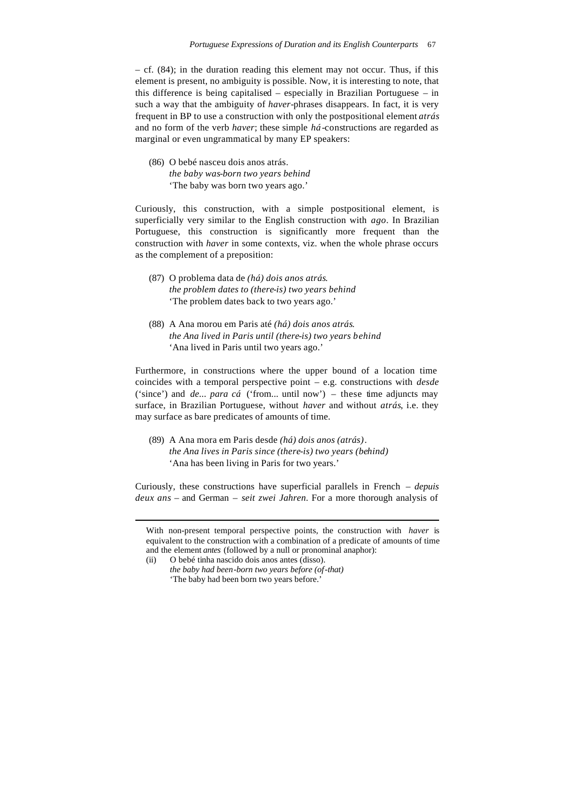– cf. (84); in the duration reading this element may not occur. Thus, if this element is present, no ambiguity is possible. Now, it is interesting to note, that this difference is being capitalised – especially in Brazilian Portuguese – in such a way that the ambiguity of *haver*-phrases disappears. In fact, it is very frequent in BP to use a construction with only the postpositional element *atrás* and no form of the verb *haver*; these simple *há*-constructions are regarded as marginal or even ungrammatical by many EP speakers:

(86) O bebé nasceu dois anos atrás. *the baby was-born two years behind* 'The baby was born two years ago.'

Curiously, this construction, with a simple postpositional element, is superficially very similar to the English construction with *ago*. In Brazilian Portuguese, this construction is significantly more frequent than the construction with *haver* in some contexts, viz. when the whole phrase occurs as the complement of a preposition:

- (87) O problema data de *(há) dois anos atrás*. *the problem dates to (there-is) two years behind* 'The problem dates back to two years ago.'
- (88) A Ana morou em Paris até *(há) dois anos atrás*. *the Ana lived in Paris until (there-is) two years behind* 'Ana lived in Paris until two years ago.'

Furthermore, in constructions where the upper bound of a location time coincides with a temporal perspective point – e.g. constructions with *desde*  ('since') and *de... para cá* ('from... until now') – these time adjuncts may surface, in Brazilian Portuguese, without *haver* and without *atrás*, i.e. they may surface as bare predicates of amounts of time.

(89) A Ana mora em Paris desde *(há) dois anos (atrás)*. *the Ana lives in Paris since (there-is) two years (behind)* 'Ana has been living in Paris for two years.'

Curiously, these constructions have superficial parallels in French – *depuis deux ans* – and German – *seit zwei Jahren*. For a more thorough analysis of

With non-present temporal perspective points, the construction with *haver* is equivalent to the construction with a combination of a predicate of amounts of time and the element *antes* (followed by a null or pronominal anaphor):

<sup>(</sup>ii) O bebé tinha nascido dois anos antes (disso).

*the baby had been-born two years before (of-that)* 'The baby had been born two years before.'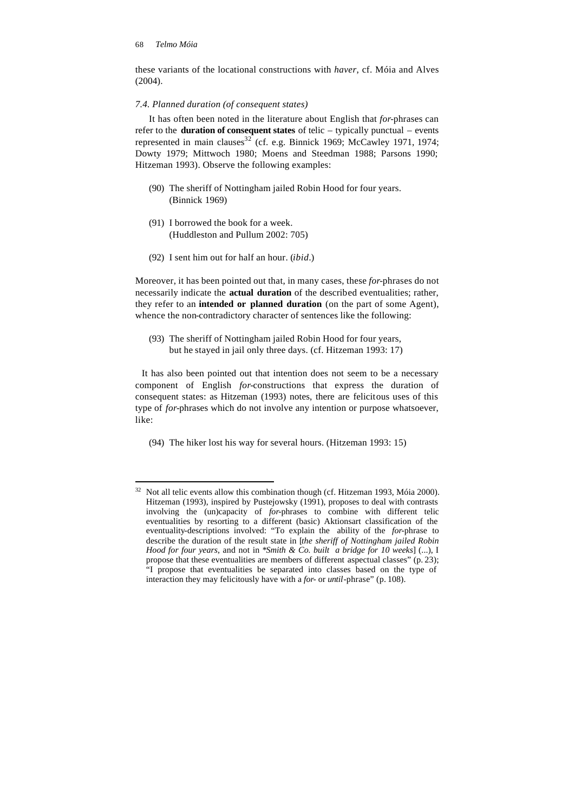these variants of the locational constructions with *haver*, cf. Móia and Alves (2004).

### *7.4. Planned duration (of consequent states)*

It has often been noted in the literature about English that *for*-phrases can refer to the **duration of consequent states** of telic – typically punctual – events represented in main clauses<sup>32</sup> (cf. e.g. Binnick 1969; McCawley 1971, 1974; Dowty 1979; Mittwoch 1980; Moens and Steedman 1988; Parsons 1990; Hitzeman 1993). Observe the following examples:

- (90) The sheriff of Nottingham jailed Robin Hood for four years. (Binnick 1969)
- (91) I borrowed the book for a week. (Huddleston and Pullum 2002: 705)
- (92) I sent him out for half an hour. (*ibid.*)

Moreover, it has been pointed out that, in many cases, these *for*-phrases do not necessarily indicate the **actual duration** of the described eventualities; rather, they refer to an **intended or planned duration** (on the part of some Agent), whence the non-contradictory character of sentences like the following:

(93) The sheriff of Nottingham jailed Robin Hood for four years, but he stayed in jail only three days. (cf. Hitzeman 1993: 17)

It has also been pointed out that intention does not seem to be a necessary component of English *for-*constructions that express the duration of consequent states: as Hitzeman (1993) notes, there are felicitous uses of this type of *for*-phrases which do not involve any intention or purpose whatsoever, like:

(94) The hiker lost his way for several hours. (Hitzeman 1993: 15)

 $32$ <sup>32</sup> Not all telic events allow this combination though (cf. Hitzeman 1993, Móia 2000). Hitzeman (1993), inspired by Pustejowsky (1991), proposes to deal with contrasts involving the (un)capacity of *for*-phrases to combine with different telic eventualities by resorting to a different (basic) Aktionsart classification of the eventuality-descriptions involved: "To explain the ability of the *for*-phrase to describe the duration of the result state in [*the sheriff of Nottingham jailed Robin Hood for four years*, and not in \**Smith & Co. built a bridge for 10 weeks*] (...), I propose that these eventualities are members of different aspectual classes" (p. 23); "I propose that eventualities be separated into classes based on the type of interaction they may felicitously have with a *for*- or *until*-phrase" (p. 108).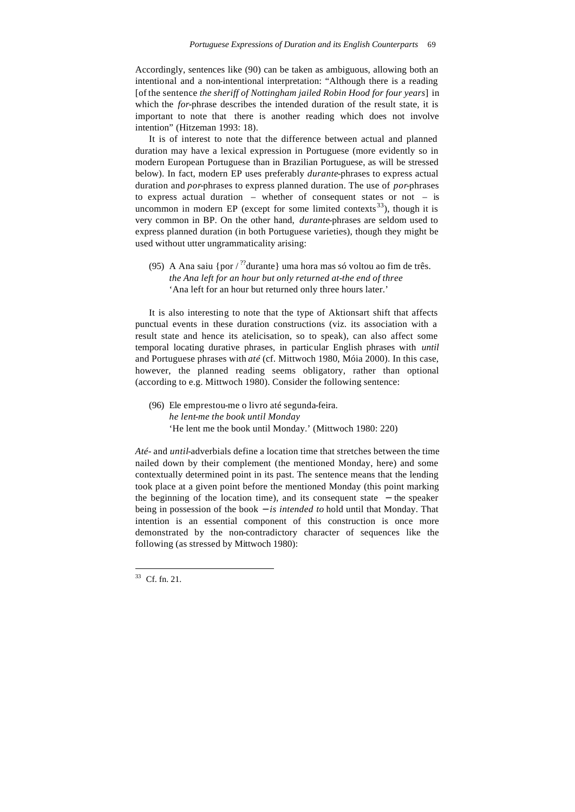Accordingly, sentences like (90) can be taken as ambiguous, allowing both an intentional and a non-intentional interpretation: "Although there is a reading [of the sentence *the sheriff of Nottingham jailed Robin Hood for four years*] in which the *for*-phrase describes the intended duration of the result state, it is important to note that there is another reading which does not involve intention" (Hitzeman 1993: 18).

It is of interest to note that the difference between actual and planned duration may have a lexical expression in Portuguese (more evidently so in modern European Portuguese than in Brazilian Portuguese, as will be stressed below). In fact, modern EP uses preferably *durante*-phrases to express actual duration and *por*-phrases to express planned duration. The use of *por*-phrases to express actual duration – whether of consequent states or not – is uncommon in modern EP (except for some limited contexts<sup>33</sup>), though it is very common in BP. On the other hand, *durante*-phrases are seldom used to express planned duration (in both Portuguese varieties), though they might be used without utter ungrammaticality arising:

(95) A Ana saiu {por  $\frac{1}{2}$ ? durante} uma hora mas só voltou ao fim de três. *the Ana left for an hour but only returned at-the end of three* 'Ana left for an hour but returned only three hours later.'

It is also interesting to note that the type of Aktionsart shift that affects punctual events in these duration constructions (viz. its association with a result state and hence its atelicisation, so to speak), can also affect some temporal locating durative phrases, in particular English phrases with *until*  and Portuguese phrases with *até* (cf. Mittwoch 1980, Móia 2000). In this case, however, the planned reading seems obligatory, rather than optional (according to e.g. Mittwoch 1980). Consider the following sentence:

(96) Ele emprestou-me o livro até segunda-feira. *he lent-me the book until Monday* 'He lent me the book until Monday.' (Mittwoch 1980: 220)

*Até-* and *until*-adverbials define a location time that stretches between the time nailed down by their complement (the mentioned Monday, here) and some contextually determined point in its past. The sentence means that the lending took place at a given point before the mentioned Monday (this point marking the beginning of the location time), and its consequent state − the speaker being in possession of the book − *is intended to* hold until that Monday. That intention is an essential component of this construction is once more demonstrated by the non-contradictory character of sequences like the following (as stressed by Mittwoch 1980):

l

 $33$  Cf. fn. 21.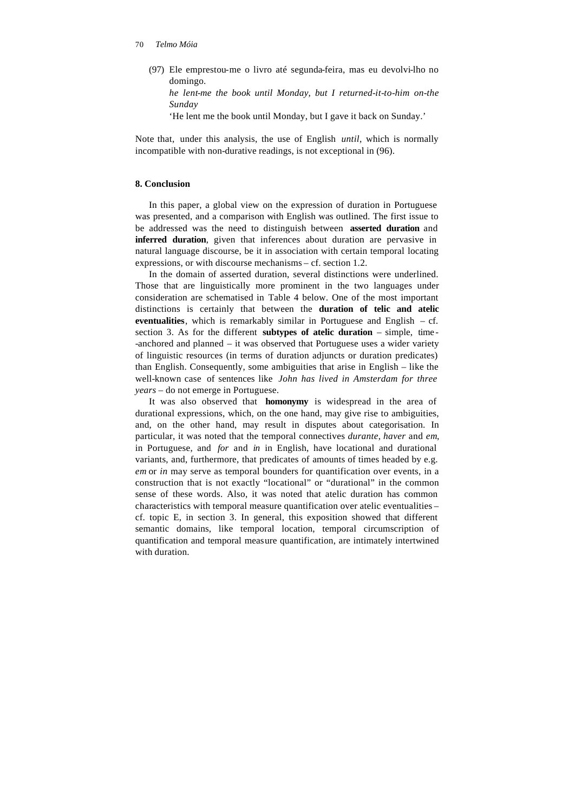(97) Ele emprestou-me o livro até segunda-feira, mas eu devolvi-lho no domingo.

*he lent-me the book until Monday, but I returned-it-to-him on-the Sunday*

'He lent me the book until Monday, but I gave it back on Sunday.'

Note that, under this analysis, the use of English *until*, which is normally incompatible with non-durative readings, is not exceptional in (96).

# **8. Conclusion**

In this paper, a global view on the expression of duration in Portuguese was presented, and a comparison with English was outlined. The first issue to be addressed was the need to distinguish between **asserted duration** and **inferred duration**, given that inferences about duration are pervasive in natural language discourse, be it in association with certain temporal locating expressions, or with discourse mechanisms – cf. section 1.2.

In the domain of asserted duration, several distinctions were underlined. Those that are linguistically more prominent in the two languages under consideration are schematised in Table 4 below. One of the most important distinctions is certainly that between the **duration of telic and atelic eventualities**, which is remarkably similar in Portuguese and English – cf. section 3. As for the different **subtypes of atelic duration** – simple, time - -anchored and planned – it was observed that Portuguese uses a wider variety of linguistic resources (in terms of duration adjuncts or duration predicates) than English. Consequently, some ambiguities that arise in English – like the well-known case of sentences like *John has lived in Amsterdam for three years* – do not emerge in Portuguese.

It was also observed that **homonymy** is widespread in the area of durational expressions, which, on the one hand, may give rise to ambiguities, and, on the other hand, may result in disputes about categorisation. In particular, it was noted that the temporal connectives *durante*, *haver* and *em*, in Portuguese, and *for* and *in* in English, have locational and durational variants, and, furthermore, that predicates of amounts of times headed by e.g. *em* or *in* may serve as temporal bounders for quantification over events, in a construction that is not exactly "locational" or "durational" in the common sense of these words. Also, it was noted that atelic duration has common characteristics with temporal measure quantification over atelic eventualities – cf. topic E, in section 3. In general, this exposition showed that different semantic domains, like temporal location, temporal circumscription of quantification and temporal measure quantification, are intimately intertwined with duration.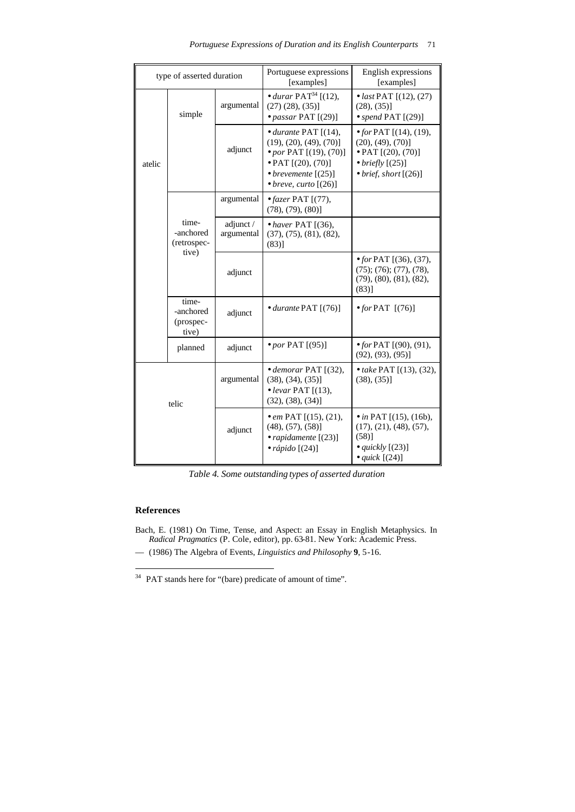| type of asserted duration |                                            | Portuguese expressions<br>[examples] | English expressions<br>[examples]                                                                                                                                                  |                                                                                                                                                   |
|---------------------------|--------------------------------------------|--------------------------------------|------------------------------------------------------------------------------------------------------------------------------------------------------------------------------------|---------------------------------------------------------------------------------------------------------------------------------------------------|
| atelic                    | simple                                     | argumental                           | • durar $\text{PAT}^{34}$ [(12),<br>$(27)$ $(28)$ , $(35)$ ]<br>$\bullet$ passar PAT [(29)]                                                                                        | • <i>last</i> PAT $[(12), (27)$<br>(28), (35)]<br>• spend PAT $[(29)]$                                                                            |
|                           |                                            | adjunct                              | $\bullet$ durante PAT $[(14),$<br>$(19), (20), (49), (70)$ ]<br>• por PAT [(19), (70)]<br>$\bullet$ PAT $[(20), (70)]$<br>• brevemente $[(25)]$<br>$\bullet$ breve, curto $[(26)]$ | • for PAT $[(14), (19),$<br>$(20), (49), (70)$ ]<br>$\bullet$ PAT $[(20), (70)]$<br>$\bullet$ briefly $[(25)]$<br>$\bullet$ brief, short $[(26)]$ |
|                           | time-<br>-anchored<br>(retrospec-<br>tive) | argumental                           | $\bullet$ fazer PAT [(77),<br>$(78), (79), (80)$ ]                                                                                                                                 |                                                                                                                                                   |
|                           |                                            | adjunct /<br>argumental              | $\bullet$ haver PAT [(36),<br>(37), (75), (81), (82),<br>$(83)$ ]                                                                                                                  |                                                                                                                                                   |
|                           |                                            | adjunct                              |                                                                                                                                                                                    | • for PAT $[(36), (37),$<br>$(75)$ ; $(76)$ ; $(77)$ , $(78)$ ,<br>(79), (80), (81), (82),<br>(83)]                                               |
|                           | time-<br>-anchored<br>(prospec-<br>tive)   | adjunct                              | $\bullet$ durante PAT $[(76)]$                                                                                                                                                     | $\bullet$ for PAT $[(76)]$                                                                                                                        |
|                           | planned                                    | adjunct                              | $\bullet$ por PAT [(95)]                                                                                                                                                           | • for PAT $[(90), (91),$<br>$(92), (93), (95)$ ]                                                                                                  |
| telic                     |                                            | argumental                           | $\bullet$ demorar PAT [(32),<br>$(38), (34), (35)$ ]<br>$\bullet$ levar PAT [(13),<br>$(32), (38), (34)$ ]                                                                         | • take PAT $[(13), (32),$<br>$(38), (35)$ ]                                                                                                       |
|                           |                                            | adjunct                              | • em PAT $[(15), (21),$<br>$(48), (57), (58)$ ]<br>• rapidamente $[(23)]$<br>$\bullet$ rápido [(24)]                                                                               | • in PAT $[(15), (16b),$<br>(17), (21), (48), (57),<br>(58)]<br>• $quickly$ [(23)]<br>• quick $[(24)]$                                            |

*Table 4. Some outstanding types of asserted duration*

# **References**

l

- Bach, E. (1981) On Time, Tense, and Aspect: an Essay in English Metaphysics. In *Radical Pragmatics* (P. Cole, editor), pp. 63-81. New York: Academic Press.
- –– (1986) The Algebra of Events, *Linguistics and Philosophy* **9**, 5-16.

 $34$  PAT stands here for "(bare) predicate of amount of time".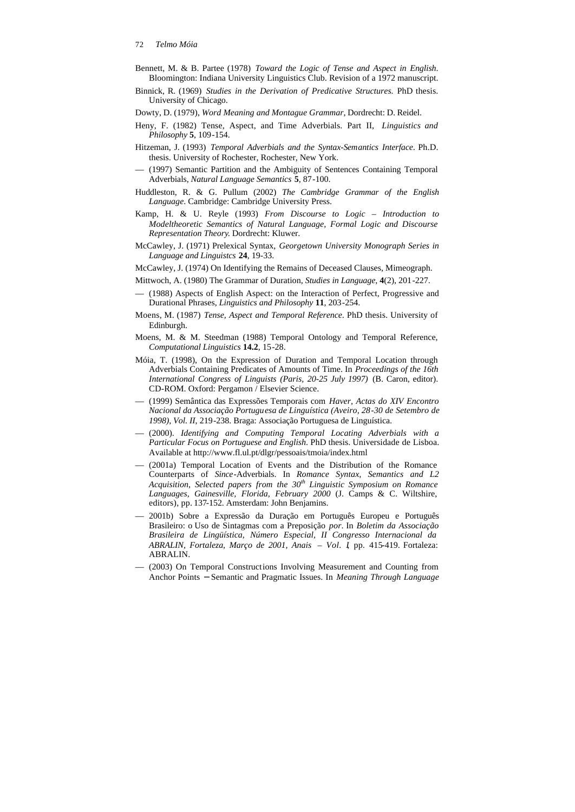- Bennett, M. & B. Partee (1978) *Toward the Logic of Tense and Aspect in English*. Bloomington: Indiana University Linguistics Club. Revision of a 1972 manuscript.
- Binnick, R. (1969) *Studies in the Derivation of Predicative Structures.* PhD thesis. University of Chicago.
- Dowty, D. (1979), *Word Meaning and Montague Grammar*, Dordrecht: D. Reidel.
- Heny, F. (1982) Tense, Aspect, and Time Adverbials. Part II, *Linguistics and Philosophy* **5**, 109-154.
- Hitzeman, J. (1993) *Temporal Adverbials and the Syntax-Semantics Interface*. Ph.D. thesis. University of Rochester, Rochester, New York.
- –– (1997) Semantic Partition and the Ambiguity of Sentences Containing Temporal Adverbials, *Natural Language Semantics* **5**, 87-100.
- Huddleston, R. & G. Pullum (2002) *The Cambridge Grammar of the English Language*. Cambridge: Cambridge University Press.
- Kamp, H. & U. Reyle (1993) *From Discourse to Logic Introduction to Modeltheoretic Semantics of Natural Language, Formal Logic and Discourse Representation Theory*. Dordrecht: Kluwer.
- McCawley, J. (1971) Prelexical Syntax, *Georgetown University Monograph Series in Language and Linguistcs* **24**, 19-33.
- McCawley, J. (1974) On Identifying the Remains of Deceased Clauses, Mimeograph.
- Mittwoch, A. (1980) The Grammar of Duration, *Studies in Language*, **4**(2), 201-227.
- (1988) Aspects of English Aspect: on the Interaction of Perfect, Progressive and Durational Phrases, *Linguistics and Philosophy* **11**, 203-254.
- Moens, M. (1987) *Tense, Aspect and Temporal Reference*. PhD thesis. University of Edinburgh.
- Moens, M. & M. Steedman (1988) Temporal Ontology and Temporal Reference, *Computational Linguistics* **14.2**, 15-28.
- Móia, T. (1998), On the Expression of Duration and Temporal Location through Adverbials Containing Predicates of Amounts of Time. In *Proceedings of the 16th International Congress of Linguists (Paris, 20-25 July 1997)* (B. Caron, editor). CD-ROM. Oxford: Pergamon / Elsevier Science.
- –– (1999) Semântica das Expressões Temporais com *Haver, Actas do XIV Encontro Nacional da Associação Portuguesa de Linguística (Aveiro, 28-30 de Setembro de 1998), Vol. II*, 219-238. Braga: Associação Portuguesa de Linguística.
- –– (2000). *Identifying and Computing Temporal Locating Adverbials with a Particular Focus on Portuguese and English*. PhD thesis. Universidade de Lisboa. Available at http://www.fl.ul.pt/dlgr/pessoais/tmoia/index.html
- (2001a) Temporal Location of Events and the Distribution of the Romance Counterparts of *Since*-Adverbials. In *Romance Syntax, Semantics and L2 Acquisition, Selected papers from the 30th Linguistic Symposium on Romance Languages, Gainesville, Florida, February 2000* (J. Camps & C. Wiltshire, editors), pp. 137-152. Amsterdam: John Benjamins.
- –– 2001b) Sobre a Expressão da Duração em Português Europeu e Português Brasileiro: o Uso de Sintagmas com a Preposição *por*. In *Boletim da Associação Brasileira de Lingüística, Número Especial, II Congresso Internacional da ABRALIN, Fortaleza, Março de 2001, Anais – Vol. I*, pp. 415-419. Fortaleza: ABRALIN.
- –– (2003) On Temporal Constructions Involving Measurement and Counting from Anchor Points − Semantic and Pragmatic Issues. In *Meaning Through Language*